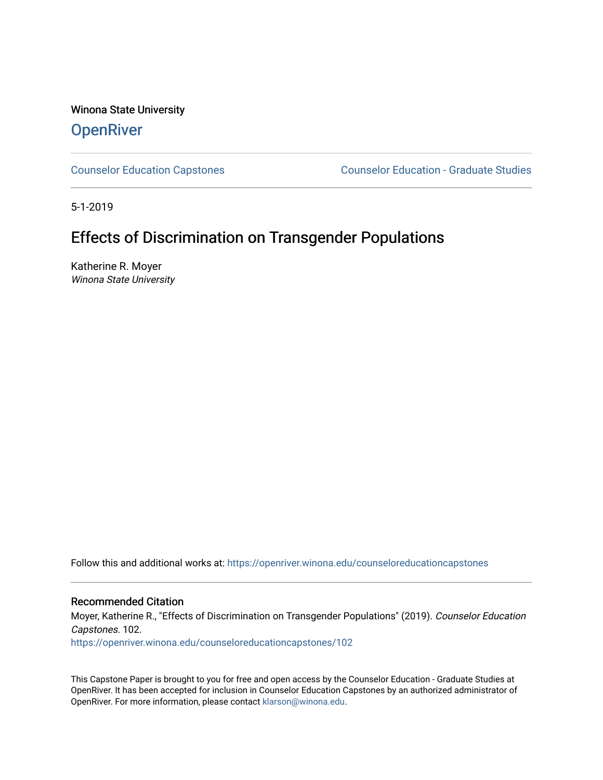Winona State University **OpenRiver** 

[Counselor Education Capstones](https://openriver.winona.edu/counseloreducationcapstones) [Counselor Education - Graduate Studies](https://openriver.winona.edu/counseloreducation) 

5-1-2019

# Effects of Discrimination on Transgender Populations

Katherine R. Moyer Winona State University

Follow this and additional works at: [https://openriver.winona.edu/counseloreducationcapstones](https://openriver.winona.edu/counseloreducationcapstones?utm_source=openriver.winona.edu%2Fcounseloreducationcapstones%2F102&utm_medium=PDF&utm_campaign=PDFCoverPages)

Recommended Citation

Moyer, Katherine R., "Effects of Discrimination on Transgender Populations" (2019). Counselor Education Capstones. 102.

[https://openriver.winona.edu/counseloreducationcapstones/102](https://openriver.winona.edu/counseloreducationcapstones/102?utm_source=openriver.winona.edu%2Fcounseloreducationcapstones%2F102&utm_medium=PDF&utm_campaign=PDFCoverPages)

This Capstone Paper is brought to you for free and open access by the Counselor Education - Graduate Studies at OpenRiver. It has been accepted for inclusion in Counselor Education Capstones by an authorized administrator of OpenRiver. For more information, please contact [klarson@winona.edu](mailto:klarson@winona.edu).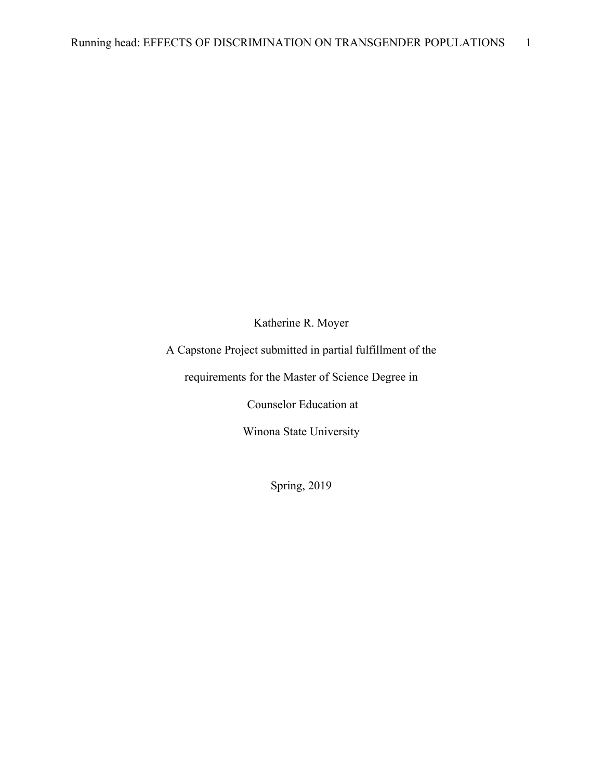Katherine R. Moyer

A Capstone Project submitted in partial fulfillment of the

requirements for the Master of Science Degree in

Counselor Education at

Winona State University

Spring, 2019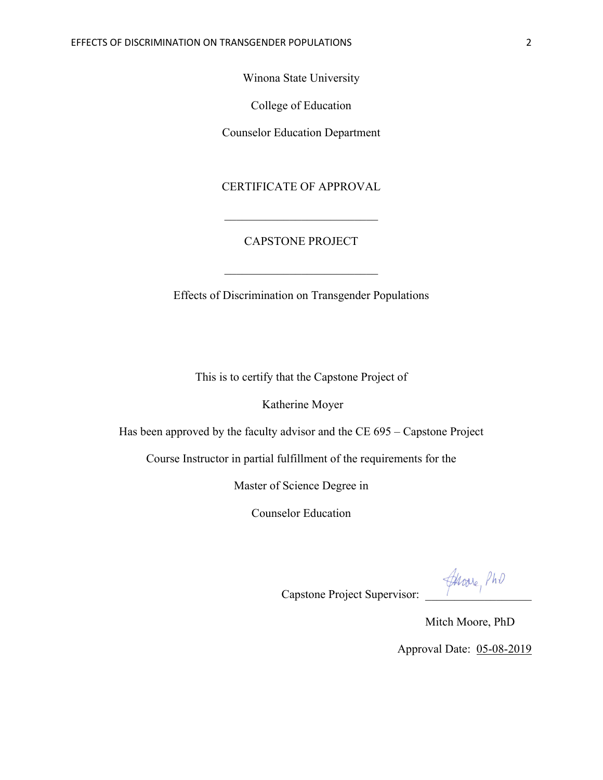Winona State University

College of Education

Counselor Education Department

# CERTIFICATE OF APPROVAL

# CAPSTONE PROJECT

Effects of Discrimination on Transgender Populations

This is to certify that the Capstone Project of

Katherine Moyer

Has been approved by the faculty advisor and the CE 695 – Capstone Project

Course Instructor in partial fulfillment of the requirements for the

Master of Science Degree in

Counselor Education

Capstone Project Supervisor:  $\mathcal{A}_{\text{Move}_1}$   $\beta h \vartheta$ 

 Mitch Moore, PhD Approval Date: 05-08-2019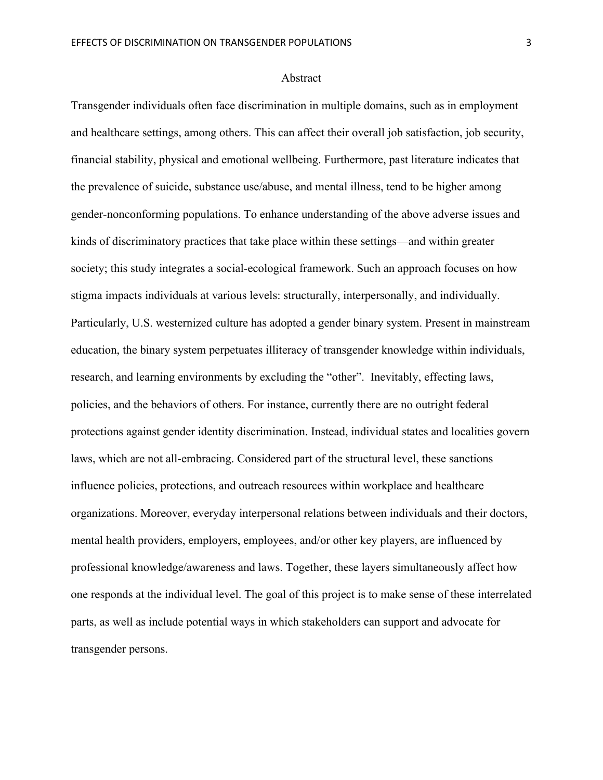#### Abstract

Transgender individuals often face discrimination in multiple domains, such as in employment and healthcare settings, among others. This can affect their overall job satisfaction, job security, financial stability, physical and emotional wellbeing. Furthermore, past literature indicates that the prevalence of suicide, substance use/abuse, and mental illness, tend to be higher among gender-nonconforming populations. To enhance understanding of the above adverse issues and kinds of discriminatory practices that take place within these settings—and within greater society; this study integrates a social-ecological framework. Such an approach focuses on how stigma impacts individuals at various levels: structurally, interpersonally, and individually. Particularly, U.S. westernized culture has adopted a gender binary system. Present in mainstream education, the binary system perpetuates illiteracy of transgender knowledge within individuals, research, and learning environments by excluding the "other". Inevitably, effecting laws, policies, and the behaviors of others. For instance, currently there are no outright federal protections against gender identity discrimination. Instead, individual states and localities govern laws, which are not all-embracing. Considered part of the structural level, these sanctions influence policies, protections, and outreach resources within workplace and healthcare organizations. Moreover, everyday interpersonal relations between individuals and their doctors, mental health providers, employers, employees, and/or other key players, are influenced by professional knowledge/awareness and laws. Together, these layers simultaneously affect how one responds at the individual level. The goal of this project is to make sense of these interrelated parts, as well as include potential ways in which stakeholders can support and advocate for transgender persons.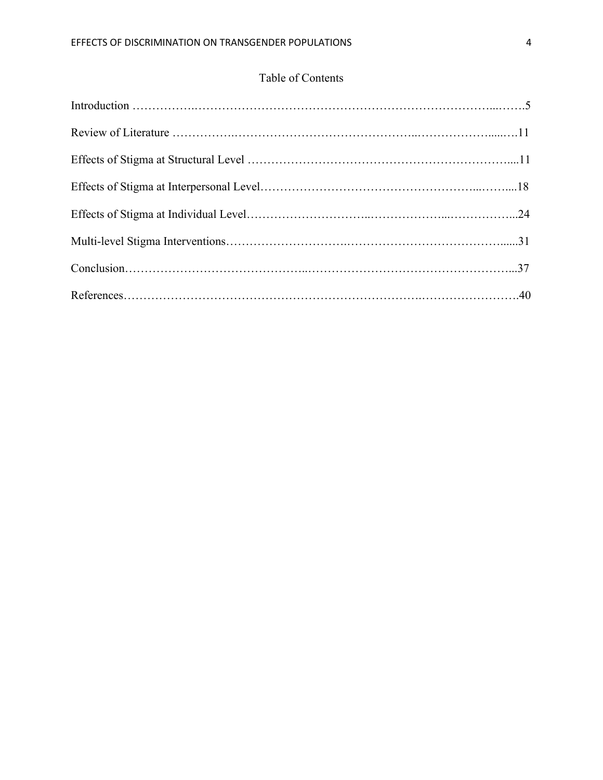# Table of Contents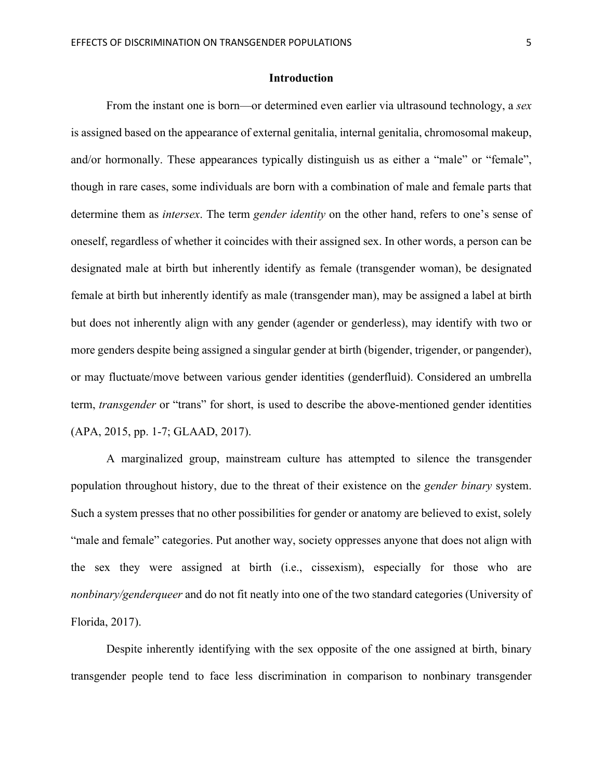### **Introduction**

From the instant one is born—or determined even earlier via ultrasound technology, a *sex*  is assigned based on the appearance of external genitalia, internal genitalia, chromosomal makeup, and/or hormonally. These appearances typically distinguish us as either a "male" or "female", though in rare cases, some individuals are born with a combination of male and female parts that determine them as *intersex*. The term *gender identity* on the other hand, refers to one's sense of oneself, regardless of whether it coincides with their assigned sex. In other words, a person can be designated male at birth but inherently identify as female (transgender woman), be designated female at birth but inherently identify as male (transgender man), may be assigned a label at birth but does not inherently align with any gender (agender or genderless), may identify with two or more genders despite being assigned a singular gender at birth (bigender, trigender, or pangender), or may fluctuate/move between various gender identities (genderfluid). Considered an umbrella term, *transgender* or "trans" for short, is used to describe the above-mentioned gender identities (APA, 2015, pp. 1-7; GLAAD, 2017).

A marginalized group, mainstream culture has attempted to silence the transgender population throughout history, due to the threat of their existence on the *gender binary* system. Such a system presses that no other possibilities for gender or anatomy are believed to exist, solely "male and female" categories. Put another way, society oppresses anyone that does not align with the sex they were assigned at birth (i.e., cissexism), especially for those who are *nonbinary/genderqueer* and do not fit neatly into one of the two standard categories (University of Florida, 2017).

Despite inherently identifying with the sex opposite of the one assigned at birth, binary transgender people tend to face less discrimination in comparison to nonbinary transgender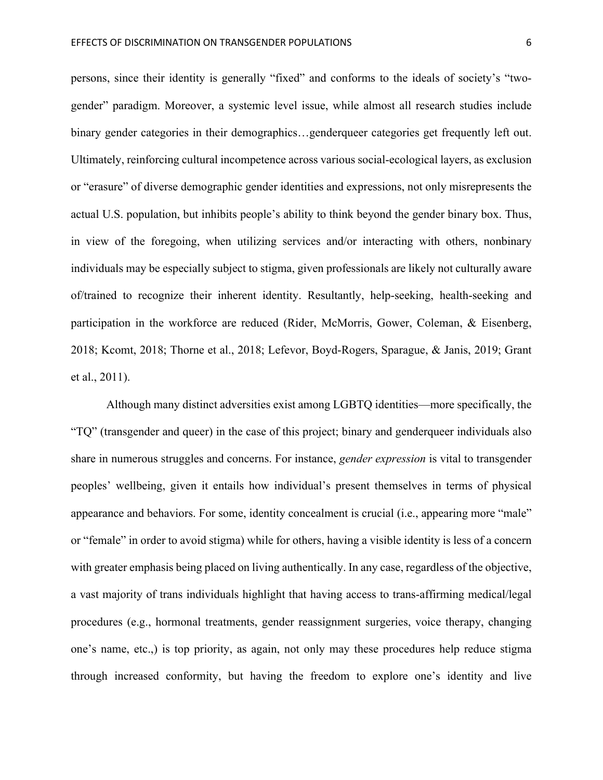persons, since their identity is generally "fixed" and conforms to the ideals of society's "twogender" paradigm. Moreover, a systemic level issue, while almost all research studies include binary gender categories in their demographics…genderqueer categories get frequently left out. Ultimately, reinforcing cultural incompetence across various social-ecological layers, as exclusion or "erasure" of diverse demographic gender identities and expressions, not only misrepresents the actual U.S. population, but inhibits people's ability to think beyond the gender binary box. Thus, in view of the foregoing, when utilizing services and/or interacting with others, nonbinary individuals may be especially subject to stigma, given professionals are likely not culturally aware of/trained to recognize their inherent identity. Resultantly, help-seeking, health-seeking and participation in the workforce are reduced (Rider, McMorris, Gower, Coleman, & Eisenberg, 2018; Kcomt, 2018; Thorne et al., 2018; Lefevor, Boyd-Rogers, Sparague, & Janis, 2019; Grant et al., 2011).

Although many distinct adversities exist among LGBTQ identities—more specifically, the "TQ" (transgender and queer) in the case of this project; binary and genderqueer individuals also share in numerous struggles and concerns. For instance, *gender expression* is vital to transgender peoples' wellbeing, given it entails how individual's present themselves in terms of physical appearance and behaviors. For some, identity concealment is crucial (i.e., appearing more "male" or "female" in order to avoid stigma) while for others, having a visible identity is less of a concern with greater emphasis being placed on living authentically. In any case, regardless of the objective, a vast majority of trans individuals highlight that having access to trans-affirming medical/legal procedures (e.g., hormonal treatments, gender reassignment surgeries, voice therapy, changing one's name, etc.,) is top priority, as again, not only may these procedures help reduce stigma through increased conformity, but having the freedom to explore one's identity and live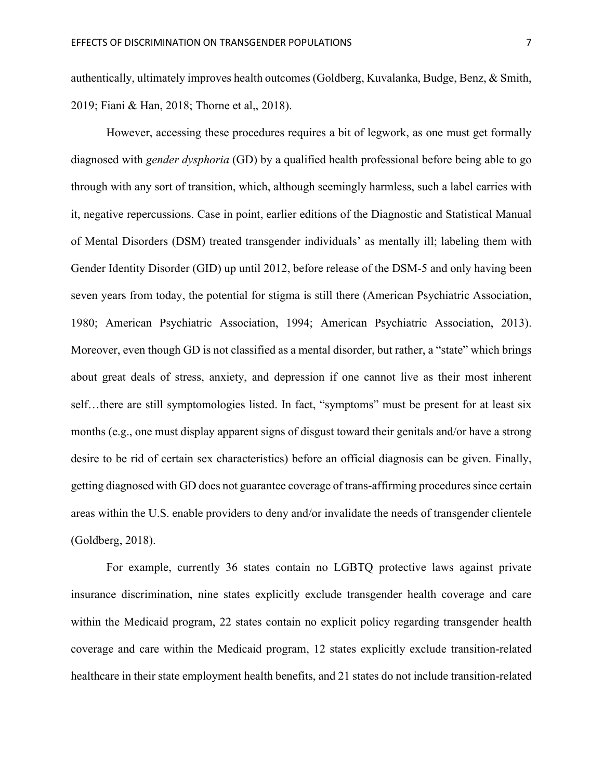authentically, ultimately improves health outcomes (Goldberg, Kuvalanka, Budge, Benz, & Smith, 2019; Fiani & Han, 2018; Thorne et al,, 2018).

However, accessing these procedures requires a bit of legwork, as one must get formally diagnosed with *gender dysphoria* (GD) by a qualified health professional before being able to go through with any sort of transition, which, although seemingly harmless, such a label carries with it, negative repercussions. Case in point, earlier editions of the Diagnostic and Statistical Manual of Mental Disorders (DSM) treated transgender individuals' as mentally ill; labeling them with Gender Identity Disorder (GID) up until 2012, before release of the DSM-5 and only having been seven years from today, the potential for stigma is still there (American Psychiatric Association, 1980; American Psychiatric Association, 1994; American Psychiatric Association, 2013). Moreover, even though GD is not classified as a mental disorder, but rather, a "state" which brings about great deals of stress, anxiety, and depression if one cannot live as their most inherent self...there are still symptomologies listed. In fact, "symptoms" must be present for at least six months (e.g., one must display apparent signs of disgust toward their genitals and/or have a strong desire to be rid of certain sex characteristics) before an official diagnosis can be given. Finally, getting diagnosed with GD does not guarantee coverage of trans-affirming procedures since certain areas within the U.S. enable providers to deny and/or invalidate the needs of transgender clientele (Goldberg, 2018).

For example, currently 36 states contain no LGBTQ protective laws against private insurance discrimination, nine states explicitly exclude transgender health coverage and care within the Medicaid program, 22 states contain no explicit policy regarding transgender health coverage and care within the Medicaid program, 12 states explicitly exclude transition-related healthcare in their state employment health benefits, and 21 states do not include transition-related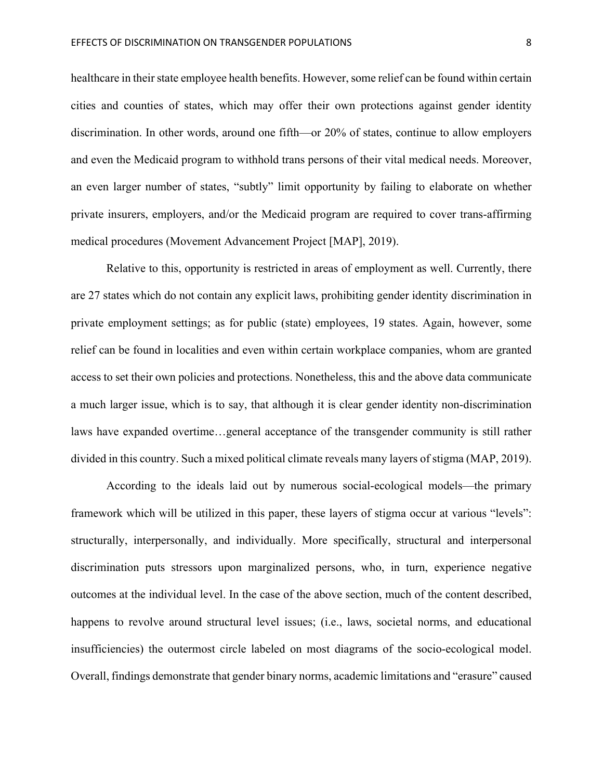healthcare in their state employee health benefits. However, some relief can be found within certain cities and counties of states, which may offer their own protections against gender identity discrimination. In other words, around one fifth—or 20% of states, continue to allow employers and even the Medicaid program to withhold trans persons of their vital medical needs. Moreover, an even larger number of states, "subtly" limit opportunity by failing to elaborate on whether private insurers, employers, and/or the Medicaid program are required to cover trans-affirming medical procedures (Movement Advancement Project [MAP], 2019).

Relative to this, opportunity is restricted in areas of employment as well. Currently, there are 27 states which do not contain any explicit laws, prohibiting gender identity discrimination in private employment settings; as for public (state) employees, 19 states. Again, however, some relief can be found in localities and even within certain workplace companies, whom are granted access to set their own policies and protections. Nonetheless, this and the above data communicate a much larger issue, which is to say, that although it is clear gender identity non-discrimination laws have expanded overtime…general acceptance of the transgender community is still rather divided in this country. Such a mixed political climate reveals many layers of stigma (MAP, 2019).

According to the ideals laid out by numerous social-ecological models—the primary framework which will be utilized in this paper, these layers of stigma occur at various "levels": structurally, interpersonally, and individually. More specifically, structural and interpersonal discrimination puts stressors upon marginalized persons, who, in turn, experience negative outcomes at the individual level. In the case of the above section, much of the content described, happens to revolve around structural level issues; (i.e., laws, societal norms, and educational insufficiencies) the outermost circle labeled on most diagrams of the socio-ecological model. Overall, findings demonstrate that gender binary norms, academic limitations and "erasure" caused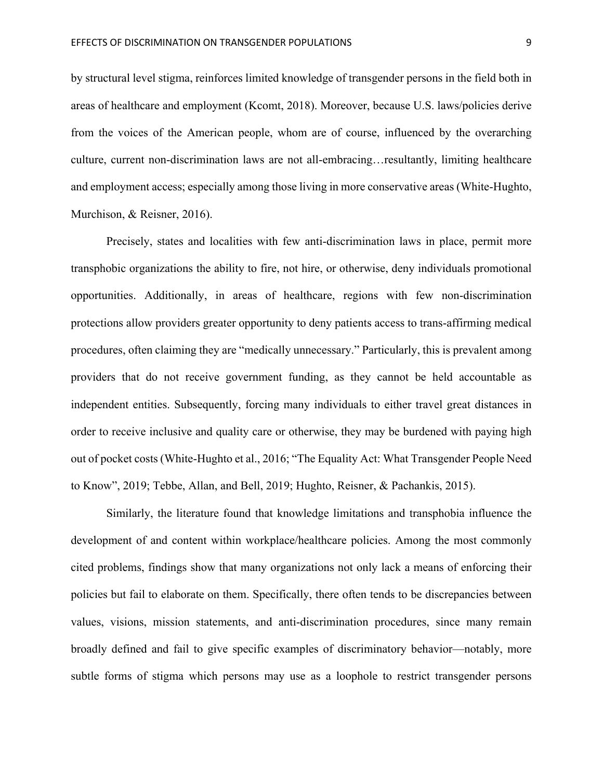by structural level stigma, reinforces limited knowledge of transgender persons in the field both in areas of healthcare and employment (Kcomt, 2018). Moreover, because U.S. laws/policies derive from the voices of the American people, whom are of course, influenced by the overarching culture, current non-discrimination laws are not all-embracing…resultantly, limiting healthcare and employment access; especially among those living in more conservative areas (White-Hughto, Murchison, & Reisner, 2016).

Precisely, states and localities with few anti-discrimination laws in place, permit more transphobic organizations the ability to fire, not hire, or otherwise, deny individuals promotional opportunities. Additionally, in areas of healthcare, regions with few non-discrimination protections allow providers greater opportunity to deny patients access to trans-affirming medical procedures, often claiming they are "medically unnecessary." Particularly, this is prevalent among providers that do not receive government funding, as they cannot be held accountable as independent entities. Subsequently, forcing many individuals to either travel great distances in order to receive inclusive and quality care or otherwise, they may be burdened with paying high out of pocket costs (White-Hughto et al., 2016; "The Equality Act: What Transgender People Need to Know", 2019; Tebbe, Allan, and Bell, 2019; Hughto, Reisner, & Pachankis, 2015).

Similarly, the literature found that knowledge limitations and transphobia influence the development of and content within workplace/healthcare policies. Among the most commonly cited problems, findings show that many organizations not only lack a means of enforcing their policies but fail to elaborate on them. Specifically, there often tends to be discrepancies between values, visions, mission statements, and anti-discrimination procedures, since many remain broadly defined and fail to give specific examples of discriminatory behavior—notably, more subtle forms of stigma which persons may use as a loophole to restrict transgender persons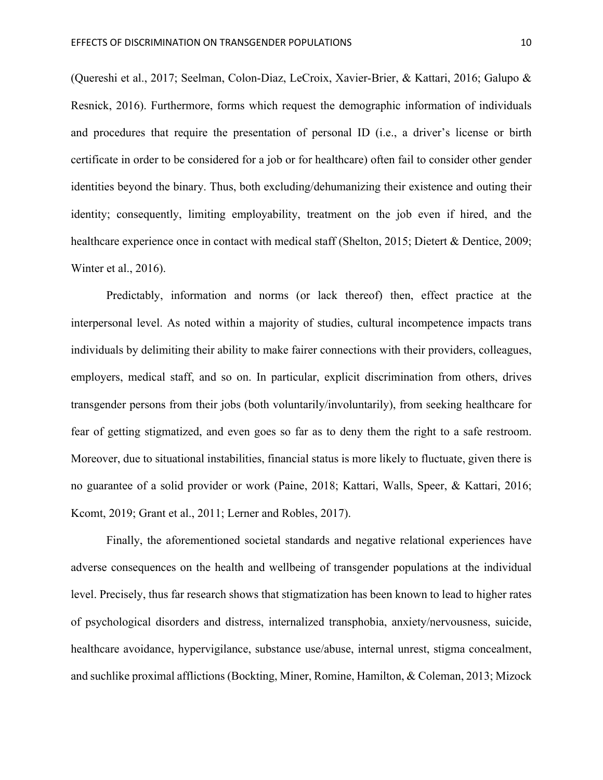(Quereshi et al., 2017; Seelman, Colon-Diaz, LeCroix, Xavier-Brier, & Kattari, 2016; Galupo & Resnick, 2016). Furthermore, forms which request the demographic information of individuals and procedures that require the presentation of personal ID (i.e., a driver's license or birth certificate in order to be considered for a job or for healthcare) often fail to consider other gender identities beyond the binary. Thus, both excluding/dehumanizing their existence and outing their identity; consequently, limiting employability, treatment on the job even if hired, and the healthcare experience once in contact with medical staff (Shelton, 2015; Dietert & Dentice, 2009; Winter et al., 2016).

Predictably, information and norms (or lack thereof) then, effect practice at the interpersonal level. As noted within a majority of studies, cultural incompetence impacts trans individuals by delimiting their ability to make fairer connections with their providers, colleagues, employers, medical staff, and so on. In particular, explicit discrimination from others, drives transgender persons from their jobs (both voluntarily/involuntarily), from seeking healthcare for fear of getting stigmatized, and even goes so far as to deny them the right to a safe restroom. Moreover, due to situational instabilities, financial status is more likely to fluctuate, given there is no guarantee of a solid provider or work (Paine, 2018; Kattari, Walls, Speer, & Kattari, 2016; Kcomt, 2019; Grant et al., 2011; Lerner and Robles, 2017).

Finally, the aforementioned societal standards and negative relational experiences have adverse consequences on the health and wellbeing of transgender populations at the individual level. Precisely, thus far research shows that stigmatization has been known to lead to higher rates of psychological disorders and distress, internalized transphobia, anxiety/nervousness, suicide, healthcare avoidance, hypervigilance, substance use/abuse, internal unrest, stigma concealment, and suchlike proximal afflictions (Bockting, Miner, Romine, Hamilton, & Coleman, 2013; Mizock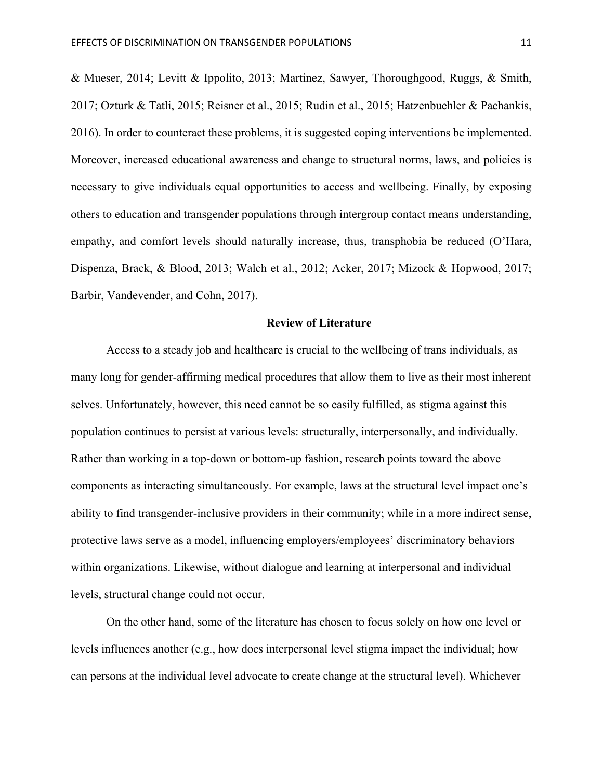& Mueser, 2014; Levitt & Ippolito, 2013; Martinez, Sawyer, Thoroughgood, Ruggs, & Smith, 2017; Ozturk & Tatli, 2015; Reisner et al., 2015; Rudin et al., 2015; Hatzenbuehler & Pachankis, 2016). In order to counteract these problems, it is suggested coping interventions be implemented. Moreover, increased educational awareness and change to structural norms, laws, and policies is necessary to give individuals equal opportunities to access and wellbeing. Finally, by exposing others to education and transgender populations through intergroup contact means understanding, empathy, and comfort levels should naturally increase, thus, transphobia be reduced (O'Hara, Dispenza, Brack, & Blood, 2013; Walch et al., 2012; Acker, 2017; Mizock & Hopwood, 2017; Barbir, Vandevender, and Cohn, 2017).

#### **Review of Literature**

Access to a steady job and healthcare is crucial to the wellbeing of trans individuals, as many long for gender-affirming medical procedures that allow them to live as their most inherent selves. Unfortunately, however, this need cannot be so easily fulfilled, as stigma against this population continues to persist at various levels: structurally, interpersonally, and individually. Rather than working in a top-down or bottom-up fashion, research points toward the above components as interacting simultaneously. For example, laws at the structural level impact one's ability to find transgender-inclusive providers in their community; while in a more indirect sense, protective laws serve as a model, influencing employers/employees' discriminatory behaviors within organizations. Likewise, without dialogue and learning at interpersonal and individual levels, structural change could not occur.

On the other hand, some of the literature has chosen to focus solely on how one level or levels influences another (e.g., how does interpersonal level stigma impact the individual; how can persons at the individual level advocate to create change at the structural level). Whichever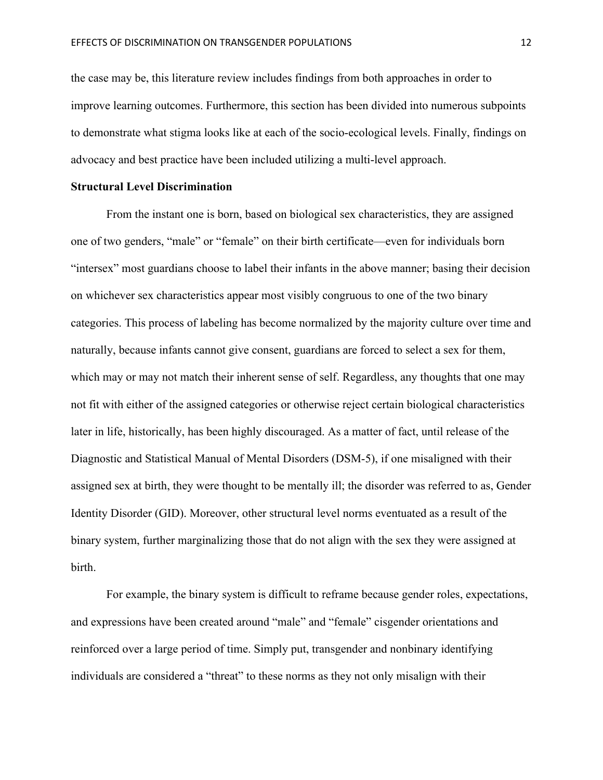the case may be, this literature review includes findings from both approaches in order to improve learning outcomes. Furthermore, this section has been divided into numerous subpoints to demonstrate what stigma looks like at each of the socio-ecological levels. Finally, findings on advocacy and best practice have been included utilizing a multi-level approach.

#### **Structural Level Discrimination**

From the instant one is born, based on biological sex characteristics, they are assigned one of two genders, "male" or "female" on their birth certificate—even for individuals born "intersex" most guardians choose to label their infants in the above manner; basing their decision on whichever sex characteristics appear most visibly congruous to one of the two binary categories. This process of labeling has become normalized by the majority culture over time and naturally, because infants cannot give consent, guardians are forced to select a sex for them, which may or may not match their inherent sense of self. Regardless, any thoughts that one may not fit with either of the assigned categories or otherwise reject certain biological characteristics later in life, historically, has been highly discouraged. As a matter of fact, until release of the Diagnostic and Statistical Manual of Mental Disorders (DSM-5), if one misaligned with their assigned sex at birth, they were thought to be mentally ill; the disorder was referred to as, Gender Identity Disorder (GID). Moreover, other structural level norms eventuated as a result of the binary system, further marginalizing those that do not align with the sex they were assigned at birth.

For example, the binary system is difficult to reframe because gender roles, expectations, and expressions have been created around "male" and "female" cisgender orientations and reinforced over a large period of time. Simply put, transgender and nonbinary identifying individuals are considered a "threat" to these norms as they not only misalign with their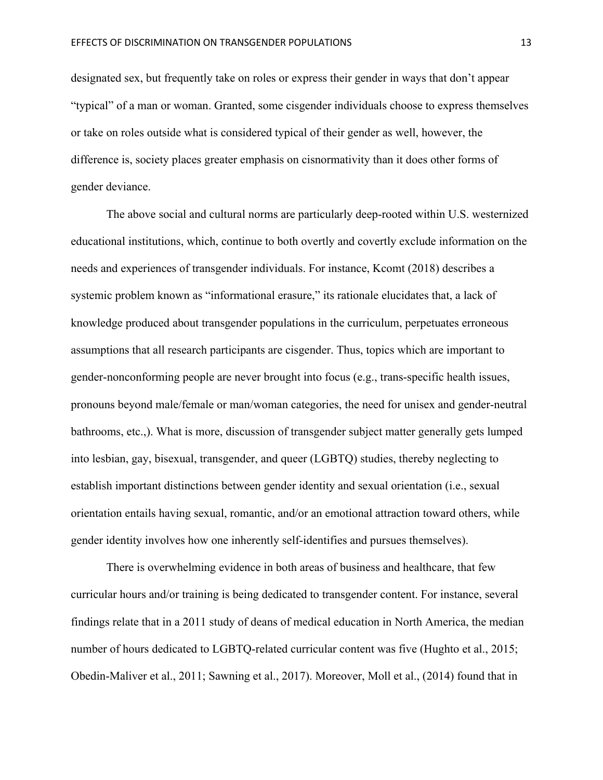designated sex, but frequently take on roles or express their gender in ways that don't appear "typical" of a man or woman. Granted, some cisgender individuals choose to express themselves or take on roles outside what is considered typical of their gender as well, however, the difference is, society places greater emphasis on cisnormativity than it does other forms of gender deviance.

The above social and cultural norms are particularly deep-rooted within U.S. westernized educational institutions, which, continue to both overtly and covertly exclude information on the needs and experiences of transgender individuals. For instance, Kcomt (2018) describes a systemic problem known as "informational erasure," its rationale elucidates that, a lack of knowledge produced about transgender populations in the curriculum, perpetuates erroneous assumptions that all research participants are cisgender. Thus, topics which are important to gender-nonconforming people are never brought into focus (e.g., trans-specific health issues, pronouns beyond male/female or man/woman categories, the need for unisex and gender-neutral bathrooms, etc.,). What is more, discussion of transgender subject matter generally gets lumped into lesbian, gay, bisexual, transgender, and queer (LGBTQ) studies, thereby neglecting to establish important distinctions between gender identity and sexual orientation (i.e., sexual orientation entails having sexual, romantic, and/or an emotional attraction toward others, while gender identity involves how one inherently self-identifies and pursues themselves).

There is overwhelming evidence in both areas of business and healthcare, that few curricular hours and/or training is being dedicated to transgender content. For instance, several findings relate that in a 2011 study of deans of medical education in North America, the median number of hours dedicated to LGBTQ-related curricular content was five (Hughto et al., 2015; Obedin-Maliver et al., 2011; Sawning et al., 2017). Moreover, Moll et al., (2014) found that in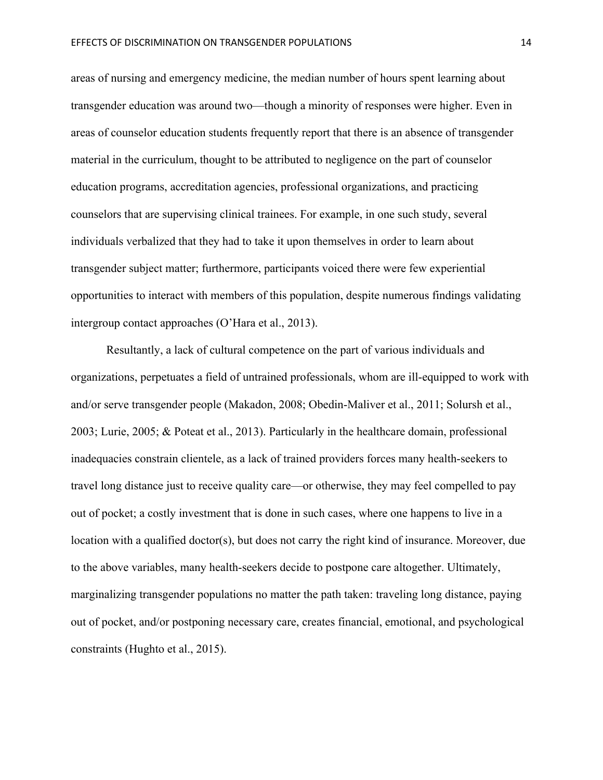areas of nursing and emergency medicine, the median number of hours spent learning about transgender education was around two—though a minority of responses were higher. Even in areas of counselor education students frequently report that there is an absence of transgender material in the curriculum, thought to be attributed to negligence on the part of counselor education programs, accreditation agencies, professional organizations, and practicing counselors that are supervising clinical trainees. For example, in one such study, several individuals verbalized that they had to take it upon themselves in order to learn about transgender subject matter; furthermore, participants voiced there were few experiential opportunities to interact with members of this population, despite numerous findings validating intergroup contact approaches (O'Hara et al., 2013).

Resultantly, a lack of cultural competence on the part of various individuals and organizations, perpetuates a field of untrained professionals, whom are ill-equipped to work with and/or serve transgender people (Makadon, 2008; Obedin-Maliver et al., 2011; Solursh et al., 2003; Lurie, 2005; & Poteat et al., 2013). Particularly in the healthcare domain, professional inadequacies constrain clientele, as a lack of trained providers forces many health-seekers to travel long distance just to receive quality care—or otherwise, they may feel compelled to pay out of pocket; a costly investment that is done in such cases, where one happens to live in a location with a qualified doctor(s), but does not carry the right kind of insurance. Moreover, due to the above variables, many health-seekers decide to postpone care altogether. Ultimately, marginalizing transgender populations no matter the path taken: traveling long distance, paying out of pocket, and/or postponing necessary care, creates financial, emotional, and psychological constraints (Hughto et al., 2015).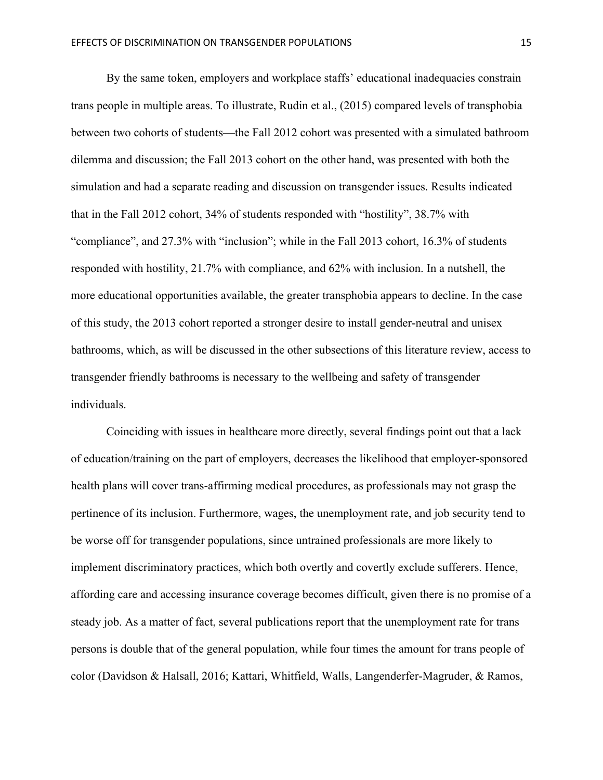By the same token, employers and workplace staffs' educational inadequacies constrain trans people in multiple areas. To illustrate, Rudin et al., (2015) compared levels of transphobia between two cohorts of students—the Fall 2012 cohort was presented with a simulated bathroom dilemma and discussion; the Fall 2013 cohort on the other hand, was presented with both the simulation and had a separate reading and discussion on transgender issues. Results indicated that in the Fall 2012 cohort, 34% of students responded with "hostility", 38.7% with "compliance", and 27.3% with "inclusion"; while in the Fall 2013 cohort, 16.3% of students responded with hostility, 21.7% with compliance, and 62% with inclusion. In a nutshell, the more educational opportunities available, the greater transphobia appears to decline. In the case of this study, the 2013 cohort reported a stronger desire to install gender-neutral and unisex bathrooms, which, as will be discussed in the other subsections of this literature review, access to transgender friendly bathrooms is necessary to the wellbeing and safety of transgender individuals.

Coinciding with issues in healthcare more directly, several findings point out that a lack of education/training on the part of employers, decreases the likelihood that employer-sponsored health plans will cover trans-affirming medical procedures, as professionals may not grasp the pertinence of its inclusion. Furthermore, wages, the unemployment rate, and job security tend to be worse off for transgender populations, since untrained professionals are more likely to implement discriminatory practices, which both overtly and covertly exclude sufferers. Hence, affording care and accessing insurance coverage becomes difficult, given there is no promise of a steady job. As a matter of fact, several publications report that the unemployment rate for trans persons is double that of the general population, while four times the amount for trans people of color (Davidson & Halsall, 2016; Kattari, Whitfield, Walls, Langenderfer-Magruder, & Ramos,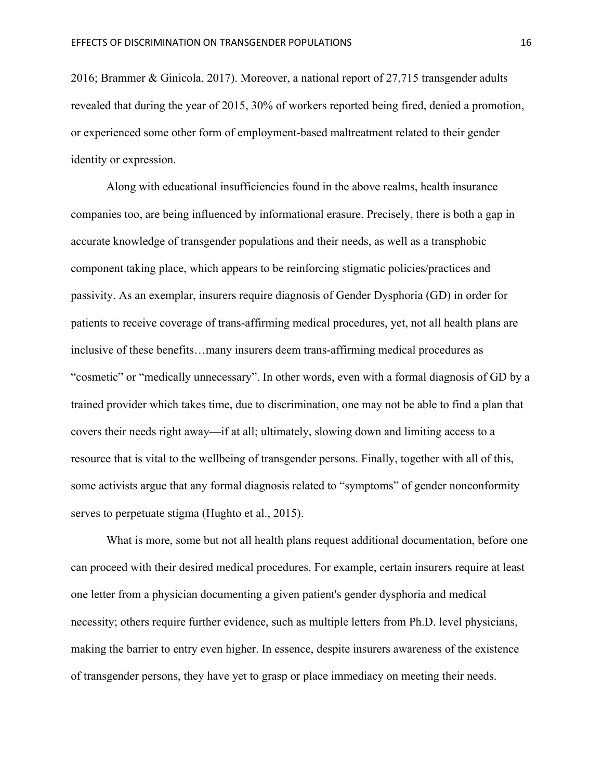2016; Brammer & Ginicola, 2017). Moreover, a national report of 27,715 transgender adults revealed that during the year of 2015, 30% of workers reported being fired, denied a promotion, or experienced some other form of employment-based maltreatment related to their gender identity or expression.

Along with educational insufficiencies found in the above realms, health insurance companies too, are being influenced by informational erasure. Precisely, there is both a gap in accurate knowledge of transgender populations and their needs, as well as a transphobic component taking place, which appears to be reinforcing stigmatic policies/practices and passivity. As an exemplar, insurers require diagnosis of Gender Dysphoria (GD) in order for patients to receive coverage of trans-affirming medical procedures, yet, not all health plans are inclusive of these benefits…many insurers deem trans-affirming medical procedures as "cosmetic" or "medically unnecessary". In other words, even with a formal diagnosis of GD by a trained provider which takes time, due to discrimination, one may not be able to find a plan that covers their needs right away—if at all; ultimately, slowing down and limiting access to a resource that is vital to the wellbeing of transgender persons. Finally, together with all of this, some activists argue that any formal diagnosis related to "symptoms" of gender nonconformity serves to perpetuate stigma (Hughto et al., 2015).

What is more, some but not all health plans request additional documentation, before one can proceed with their desired medical procedures. For example, certain insurers require at least one letter from a physician documenting a given patient's gender dysphoria and medical necessity; others require further evidence, such as multiple letters from Ph.D. level physicians, making the barrier to entry even higher. In essence, despite insurers awareness of the existence of transgender persons, they have yet to grasp or place immediacy on meeting their needs.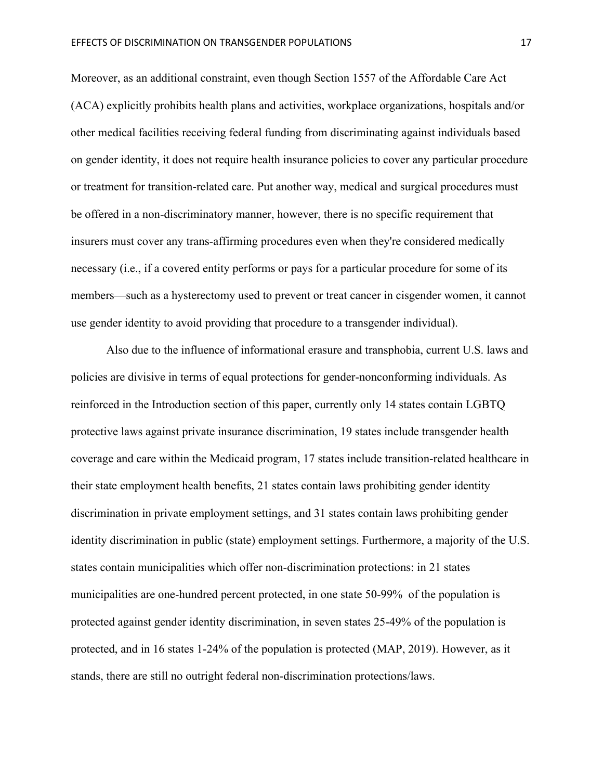Moreover, as an additional constraint, even though Section 1557 of the Affordable Care Act (ACA) explicitly prohibits health plans and activities, workplace organizations, hospitals and/or other medical facilities receiving federal funding from discriminating against individuals based on gender identity, it does not require health insurance policies to cover any particular procedure or treatment for transition-related care. Put another way, medical and surgical procedures must be offered in a non-discriminatory manner, however, there is no specific requirement that insurers must cover any trans-affirming procedures even when they're considered medically necessary (i.e., if a covered entity performs or pays for a particular procedure for some of its members—such as a hysterectomy used to prevent or treat cancer in cisgender women, it cannot use gender identity to avoid providing that procedure to a transgender individual).

Also due to the influence of informational erasure and transphobia, current U.S. laws and policies are divisive in terms of equal protections for gender-nonconforming individuals. As reinforced in the Introduction section of this paper, currently only 14 states contain LGBTQ protective laws against private insurance discrimination, 19 states include transgender health coverage and care within the Medicaid program, 17 states include transition-related healthcare in their state employment health benefits, 21 states contain laws prohibiting gender identity discrimination in private employment settings, and 31 states contain laws prohibiting gender identity discrimination in public (state) employment settings. Furthermore, a majority of the U.S. states contain municipalities which offer non-discrimination protections: in 21 states municipalities are one-hundred percent protected, in one state 50-99% of the population is protected against gender identity discrimination, in seven states 25-49% of the population is protected, and in 16 states 1-24% of the population is protected (MAP, 2019). However, as it stands, there are still no outright federal non-discrimination protections/laws.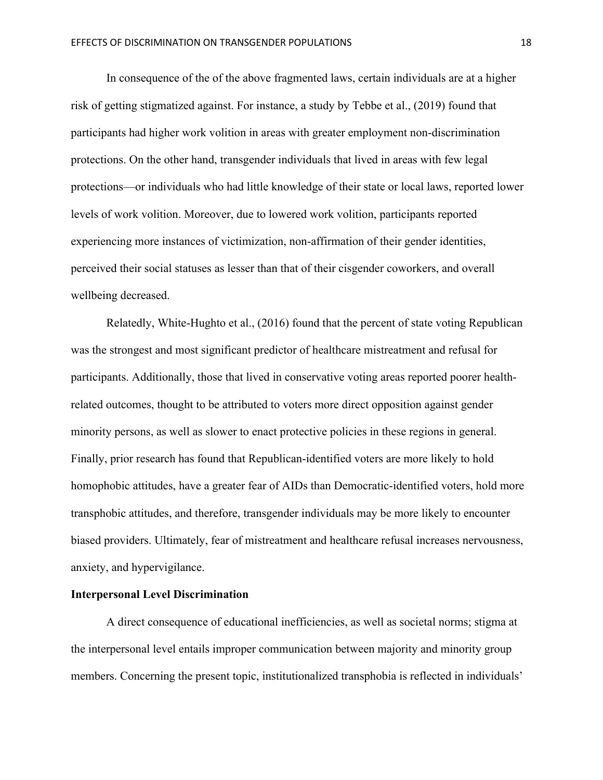In consequence of the of the above fragmented laws, certain individuals are at a higher risk of getting stigmatized against. For instance, a study by Tebbe et al., (2019) found that participants had higher work volition in areas with greater employment non-discrimination protections. On the other hand, transgender individuals that lived in areas with few legal protections—or individuals who had little knowledge of their state or local laws, reported lower levels of work volition. Moreover, due to lowered work volition, participants reported experiencing more instances of victimization, non-affirmation of their gender identities, perceived their social statuses as lesser than that of their cisgender coworkers, and overall wellbeing decreased.

Relatedly, White-Hughto et al., (2016) found that the percent of state voting Republican was the strongest and most significant predictor of healthcare mistreatment and refusal for participants. Additionally, those that lived in conservative voting areas reported poorer healthrelated outcomes, thought to be attributed to voters more direct opposition against gender minority persons, as well as slower to enact protective policies in these regions in general. Finally, prior research has found that Republican-identified voters are more likely to hold homophobic attitudes, have a greater fear of AIDs than Democratic-identified voters, hold more transphobic attitudes, and therefore, transgender individuals may be more likely to encounter biased providers. Ultimately, fear of mistreatment and healthcare refusal increases nervousness, anxiety, and hypervigilance.

#### **Interpersonal Level Discrimination**

A direct consequence of educational inefficiencies, as well as societal norms; stigma at the interpersonal level entails improper communication between majority and minority group members. Concerning the present topic, institutionalized transphobia is reflected in individuals'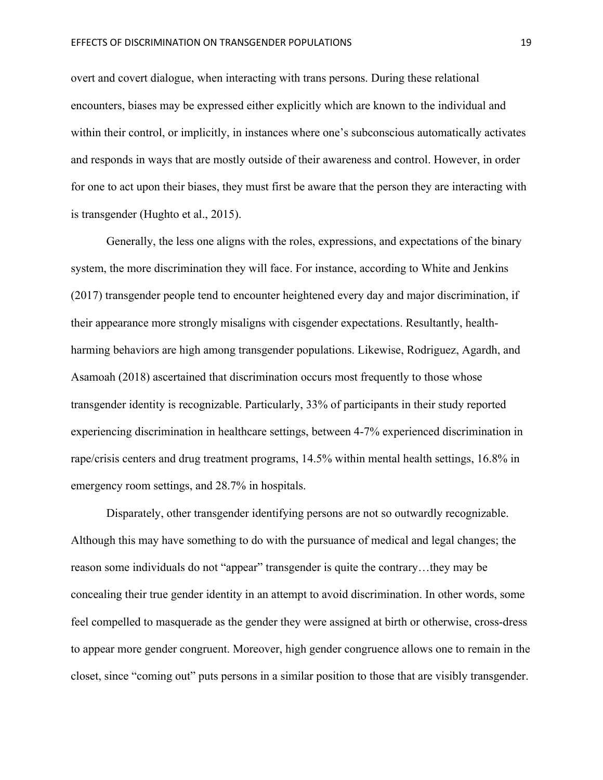overt and covert dialogue, when interacting with trans persons. During these relational encounters, biases may be expressed either explicitly which are known to the individual and within their control, or implicitly, in instances where one's subconscious automatically activates and responds in ways that are mostly outside of their awareness and control. However, in order for one to act upon their biases, they must first be aware that the person they are interacting with is transgender (Hughto et al., 2015).

Generally, the less one aligns with the roles, expressions, and expectations of the binary system, the more discrimination they will face. For instance, according to White and Jenkins (2017) transgender people tend to encounter heightened every day and major discrimination, if their appearance more strongly misaligns with cisgender expectations. Resultantly, healthharming behaviors are high among transgender populations. Likewise, Rodriguez, Agardh, and Asamoah (2018) ascertained that discrimination occurs most frequently to those whose transgender identity is recognizable. Particularly, 33% of participants in their study reported experiencing discrimination in healthcare settings, between 4-7% experienced discrimination in rape/crisis centers and drug treatment programs, 14.5% within mental health settings, 16.8% in emergency room settings, and 28.7% in hospitals.

Disparately, other transgender identifying persons are not so outwardly recognizable. Although this may have something to do with the pursuance of medical and legal changes; the reason some individuals do not "appear" transgender is quite the contrary…they may be concealing their true gender identity in an attempt to avoid discrimination. In other words, some feel compelled to masquerade as the gender they were assigned at birth or otherwise, cross-dress to appear more gender congruent. Moreover, high gender congruence allows one to remain in the closet, since "coming out" puts persons in a similar position to those that are visibly transgender.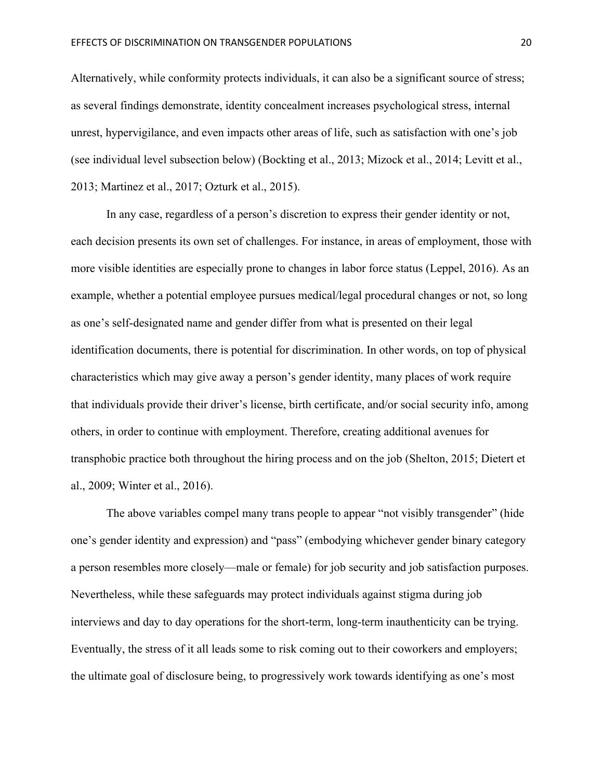Alternatively, while conformity protects individuals, it can also be a significant source of stress; as several findings demonstrate, identity concealment increases psychological stress, internal unrest, hypervigilance, and even impacts other areas of life, such as satisfaction with one's job (see individual level subsection below) (Bockting et al., 2013; Mizock et al., 2014; Levitt et al., 2013; Martinez et al., 2017; Ozturk et al., 2015).

In any case, regardless of a person's discretion to express their gender identity or not, each decision presents its own set of challenges. For instance, in areas of employment, those with more visible identities are especially prone to changes in labor force status (Leppel, 2016). As an example, whether a potential employee pursues medical/legal procedural changes or not, so long as one's self-designated name and gender differ from what is presented on their legal identification documents, there is potential for discrimination. In other words, on top of physical characteristics which may give away a person's gender identity, many places of work require that individuals provide their driver's license, birth certificate, and/or social security info, among others, in order to continue with employment. Therefore, creating additional avenues for transphobic practice both throughout the hiring process and on the job (Shelton, 2015; Dietert et al., 2009; Winter et al., 2016).

The above variables compel many trans people to appear "not visibly transgender" (hide one's gender identity and expression) and "pass" (embodying whichever gender binary category a person resembles more closely—male or female) for job security and job satisfaction purposes. Nevertheless, while these safeguards may protect individuals against stigma during job interviews and day to day operations for the short-term, long-term inauthenticity can be trying. Eventually, the stress of it all leads some to risk coming out to their coworkers and employers; the ultimate goal of disclosure being, to progressively work towards identifying as one's most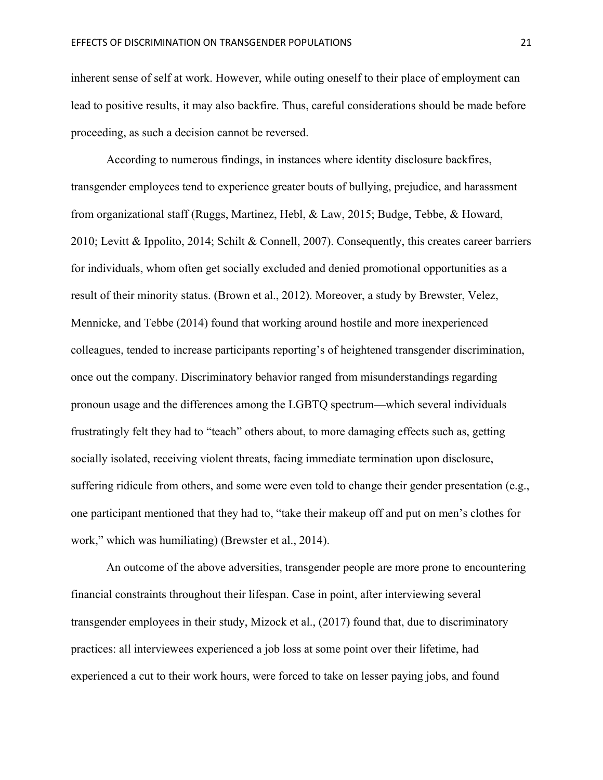inherent sense of self at work. However, while outing oneself to their place of employment can lead to positive results, it may also backfire. Thus, careful considerations should be made before proceeding, as such a decision cannot be reversed.

According to numerous findings, in instances where identity disclosure backfires, transgender employees tend to experience greater bouts of bullying, prejudice, and harassment from organizational staff (Ruggs, Martinez, Hebl, & Law, 2015; Budge, Tebbe, & Howard, 2010; Levitt & Ippolito, 2014; Schilt & Connell, 2007). Consequently, this creates career barriers for individuals, whom often get socially excluded and denied promotional opportunities as a result of their minority status. (Brown et al., 2012). Moreover, a study by Brewster, Velez, Mennicke, and Tebbe (2014) found that working around hostile and more inexperienced colleagues, tended to increase participants reporting's of heightened transgender discrimination, once out the company. Discriminatory behavior ranged from misunderstandings regarding pronoun usage and the differences among the LGBTQ spectrum—which several individuals frustratingly felt they had to "teach" others about, to more damaging effects such as, getting socially isolated, receiving violent threats, facing immediate termination upon disclosure, suffering ridicule from others, and some were even told to change their gender presentation (e.g., one participant mentioned that they had to, "take their makeup off and put on men's clothes for work," which was humiliating) (Brewster et al., 2014).

An outcome of the above adversities, transgender people are more prone to encountering financial constraints throughout their lifespan. Case in point, after interviewing several transgender employees in their study, Mizock et al., (2017) found that, due to discriminatory practices: all interviewees experienced a job loss at some point over their lifetime, had experienced a cut to their work hours, were forced to take on lesser paying jobs, and found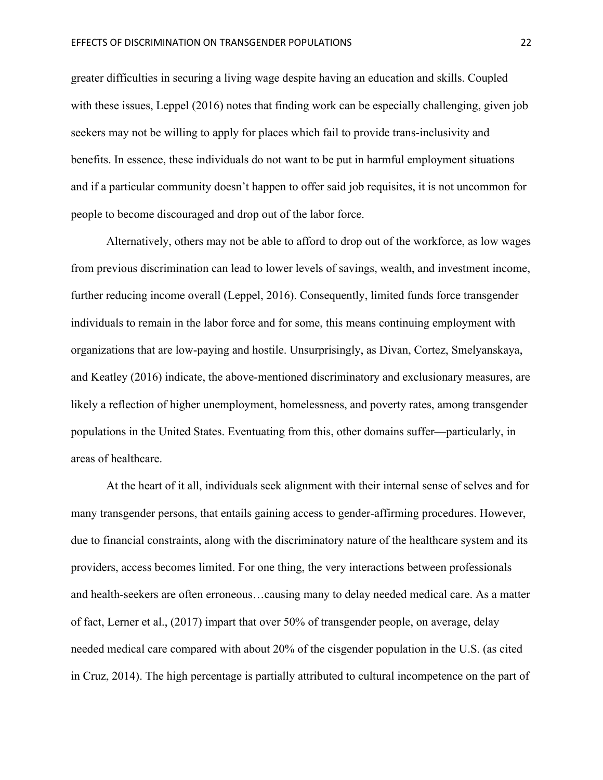greater difficulties in securing a living wage despite having an education and skills. Coupled with these issues, Leppel (2016) notes that finding work can be especially challenging, given job seekers may not be willing to apply for places which fail to provide trans-inclusivity and benefits. In essence, these individuals do not want to be put in harmful employment situations and if a particular community doesn't happen to offer said job requisites, it is not uncommon for people to become discouraged and drop out of the labor force.

Alternatively, others may not be able to afford to drop out of the workforce, as low wages from previous discrimination can lead to lower levels of savings, wealth, and investment income, further reducing income overall (Leppel, 2016). Consequently, limited funds force transgender individuals to remain in the labor force and for some, this means continuing employment with organizations that are low-paying and hostile. Unsurprisingly, as Divan, Cortez, Smelyanskaya, and Keatley (2016) indicate, the above-mentioned discriminatory and exclusionary measures, are likely a reflection of higher unemployment, homelessness, and poverty rates, among transgender populations in the United States. Eventuating from this, other domains suffer—particularly, in areas of healthcare.

At the heart of it all, individuals seek alignment with their internal sense of selves and for many transgender persons, that entails gaining access to gender-affirming procedures. However, due to financial constraints, along with the discriminatory nature of the healthcare system and its providers, access becomes limited. For one thing, the very interactions between professionals and health-seekers are often erroneous…causing many to delay needed medical care. As a matter of fact, Lerner et al., (2017) impart that over 50% of transgender people, on average, delay needed medical care compared with about 20% of the cisgender population in the U.S. (as cited in Cruz, 2014). The high percentage is partially attributed to cultural incompetence on the part of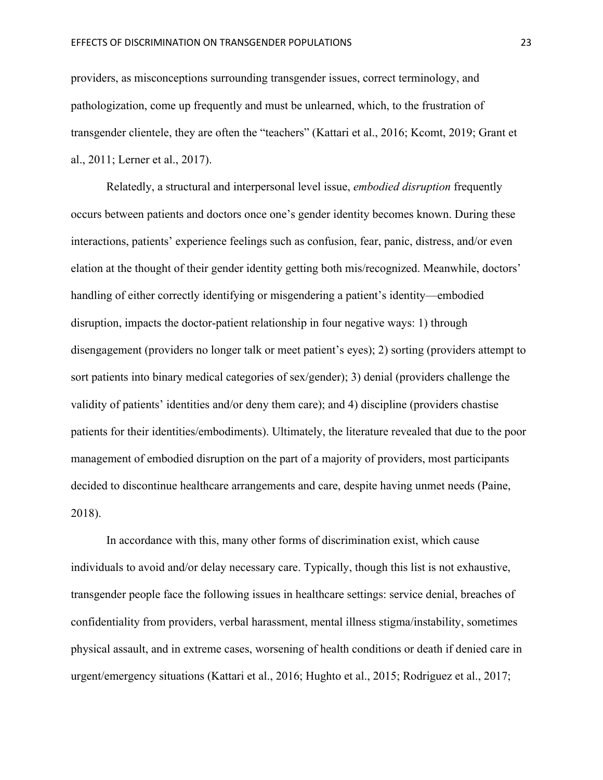providers, as misconceptions surrounding transgender issues, correct terminology, and pathologization, come up frequently and must be unlearned, which, to the frustration of transgender clientele, they are often the "teachers" (Kattari et al., 2016; Kcomt, 2019; Grant et al., 2011; Lerner et al., 2017).

Relatedly, a structural and interpersonal level issue, *embodied disruption* frequently occurs between patients and doctors once one's gender identity becomes known. During these interactions, patients' experience feelings such as confusion, fear, panic, distress, and/or even elation at the thought of their gender identity getting both mis/recognized. Meanwhile, doctors' handling of either correctly identifying or misgendering a patient's identity—embodied disruption, impacts the doctor-patient relationship in four negative ways: 1) through disengagement (providers no longer talk or meet patient's eyes); 2) sorting (providers attempt to sort patients into binary medical categories of sex/gender); 3) denial (providers challenge the validity of patients' identities and/or deny them care); and 4) discipline (providers chastise patients for their identities/embodiments). Ultimately, the literature revealed that due to the poor management of embodied disruption on the part of a majority of providers, most participants decided to discontinue healthcare arrangements and care, despite having unmet needs (Paine, 2018).

In accordance with this, many other forms of discrimination exist, which cause individuals to avoid and/or delay necessary care. Typically, though this list is not exhaustive, transgender people face the following issues in healthcare settings: service denial, breaches of confidentiality from providers, verbal harassment, mental illness stigma/instability, sometimes physical assault, and in extreme cases, worsening of health conditions or death if denied care in urgent/emergency situations (Kattari et al., 2016; Hughto et al., 2015; Rodriguez et al., 2017;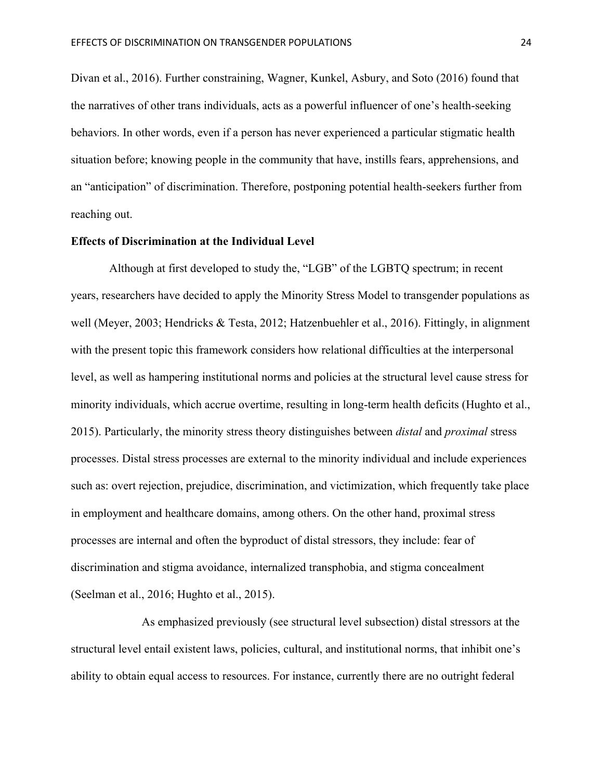Divan et al., 2016). Further constraining, Wagner, Kunkel, Asbury, and Soto (2016) found that the narratives of other trans individuals, acts as a powerful influencer of one's health-seeking behaviors. In other words, even if a person has never experienced a particular stigmatic health situation before; knowing people in the community that have, instills fears, apprehensions, and an "anticipation" of discrimination. Therefore, postponing potential health-seekers further from reaching out.

#### **Effects of Discrimination at the Individual Level**

Although at first developed to study the, "LGB" of the LGBTQ spectrum; in recent years, researchers have decided to apply the Minority Stress Model to transgender populations as well (Meyer, 2003; Hendricks & Testa, 2012; Hatzenbuehler et al., 2016). Fittingly, in alignment with the present topic this framework considers how relational difficulties at the interpersonal level, as well as hampering institutional norms and policies at the structural level cause stress for minority individuals, which accrue overtime, resulting in long-term health deficits (Hughto et al., 2015). Particularly, the minority stress theory distinguishes between *distal* and *proximal* stress processes. Distal stress processes are external to the minority individual and include experiences such as: overt rejection, prejudice, discrimination, and victimization, which frequently take place in employment and healthcare domains, among others. On the other hand, proximal stress processes are internal and often the byproduct of distal stressors, they include: fear of discrimination and stigma avoidance, internalized transphobia, and stigma concealment (Seelman et al., 2016; Hughto et al., 2015).

As emphasized previously (see structural level subsection) distal stressors at the structural level entail existent laws, policies, cultural, and institutional norms, that inhibit one's ability to obtain equal access to resources. For instance, currently there are no outright federal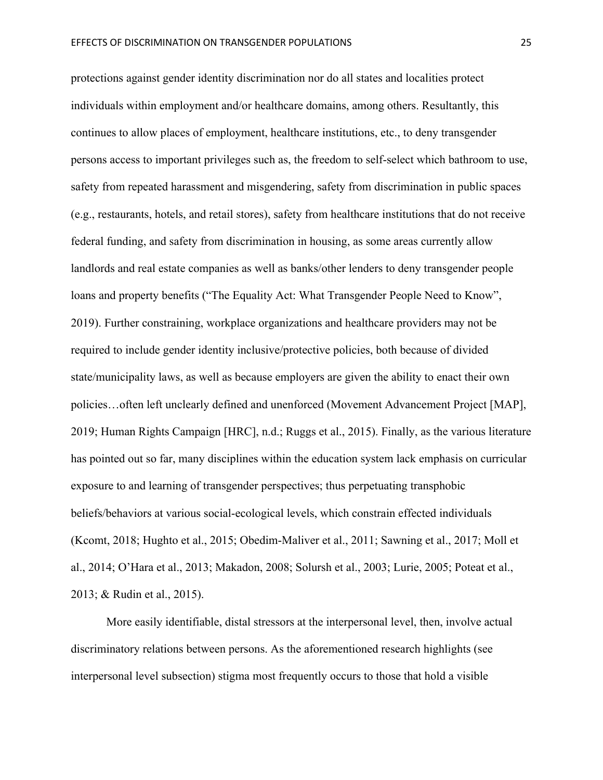protections against gender identity discrimination nor do all states and localities protect individuals within employment and/or healthcare domains, among others. Resultantly, this continues to allow places of employment, healthcare institutions, etc., to deny transgender persons access to important privileges such as, the freedom to self-select which bathroom to use, safety from repeated harassment and misgendering, safety from discrimination in public spaces (e.g., restaurants, hotels, and retail stores), safety from healthcare institutions that do not receive federal funding, and safety from discrimination in housing, as some areas currently allow landlords and real estate companies as well as banks/other lenders to deny transgender people loans and property benefits ("The Equality Act: What Transgender People Need to Know", 2019). Further constraining, workplace organizations and healthcare providers may not be required to include gender identity inclusive/protective policies, both because of divided state/municipality laws, as well as because employers are given the ability to enact their own policies…often left unclearly defined and unenforced (Movement Advancement Project [MAP], 2019; Human Rights Campaign [HRC], n.d.; Ruggs et al., 2015). Finally, as the various literature has pointed out so far, many disciplines within the education system lack emphasis on curricular exposure to and learning of transgender perspectives; thus perpetuating transphobic beliefs/behaviors at various social-ecological levels, which constrain effected individuals (Kcomt, 2018; Hughto et al., 2015; Obedim-Maliver et al., 2011; Sawning et al., 2017; Moll et al., 2014; O'Hara et al., 2013; Makadon, 2008; Solursh et al., 2003; Lurie, 2005; Poteat et al., 2013; & Rudin et al., 2015).

More easily identifiable, distal stressors at the interpersonal level, then, involve actual discriminatory relations between persons. As the aforementioned research highlights (see interpersonal level subsection) stigma most frequently occurs to those that hold a visible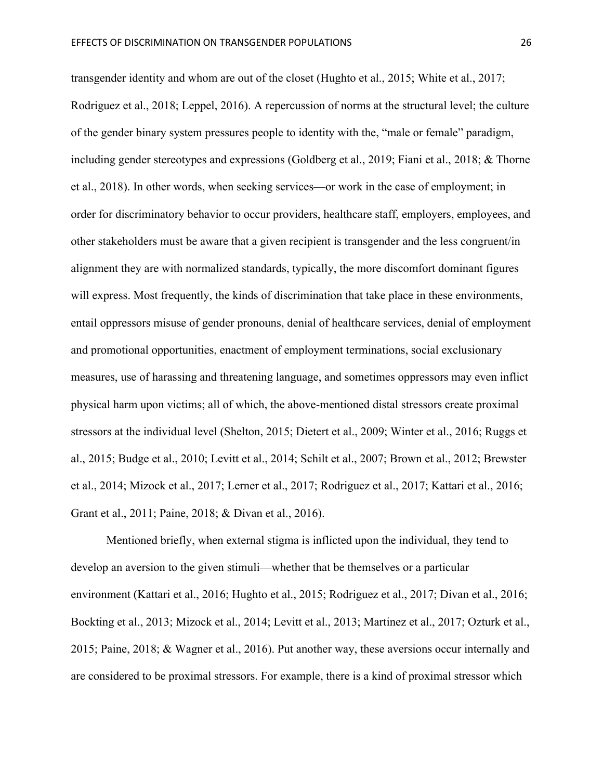transgender identity and whom are out of the closet (Hughto et al., 2015; White et al., 2017; Rodriguez et al., 2018; Leppel, 2016). A repercussion of norms at the structural level; the culture of the gender binary system pressures people to identity with the, "male or female" paradigm, including gender stereotypes and expressions (Goldberg et al., 2019; Fiani et al., 2018; & Thorne et al., 2018). In other words, when seeking services—or work in the case of employment; in order for discriminatory behavior to occur providers, healthcare staff, employers, employees, and other stakeholders must be aware that a given recipient is transgender and the less congruent/in alignment they are with normalized standards, typically, the more discomfort dominant figures will express. Most frequently, the kinds of discrimination that take place in these environments, entail oppressors misuse of gender pronouns, denial of healthcare services, denial of employment and promotional opportunities, enactment of employment terminations, social exclusionary measures, use of harassing and threatening language, and sometimes oppressors may even inflict physical harm upon victims; all of which, the above-mentioned distal stressors create proximal stressors at the individual level (Shelton, 2015; Dietert et al., 2009; Winter et al., 2016; Ruggs et al., 2015; Budge et al., 2010; Levitt et al., 2014; Schilt et al., 2007; Brown et al., 2012; Brewster et al., 2014; Mizock et al., 2017; Lerner et al., 2017; Rodriguez et al., 2017; Kattari et al., 2016; Grant et al., 2011; Paine, 2018; & Divan et al., 2016).

Mentioned briefly, when external stigma is inflicted upon the individual, they tend to develop an aversion to the given stimuli—whether that be themselves or a particular environment (Kattari et al., 2016; Hughto et al., 2015; Rodriguez et al., 2017; Divan et al., 2016; Bockting et al., 2013; Mizock et al., 2014; Levitt et al., 2013; Martinez et al., 2017; Ozturk et al., 2015; Paine, 2018; & Wagner et al., 2016). Put another way, these aversions occur internally and are considered to be proximal stressors. For example, there is a kind of proximal stressor which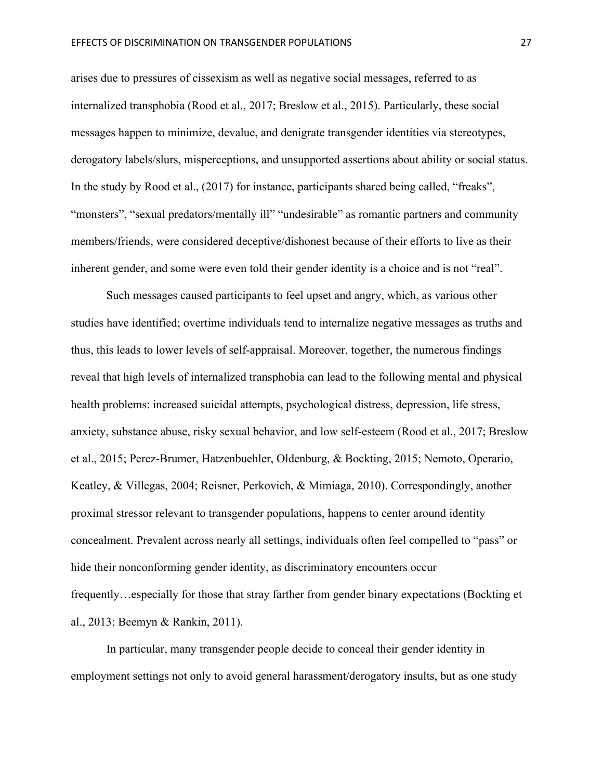arises due to pressures of cissexism as well as negative social messages, referred to as internalized transphobia (Rood et al., 2017; Breslow et al., 2015). Particularly, these social messages happen to minimize, devalue, and denigrate transgender identities via stereotypes, derogatory labels/slurs, misperceptions, and unsupported assertions about ability or social status. In the study by Rood et al., (2017) for instance, participants shared being called, "freaks", "monsters", "sexual predators/mentally ill" "undesirable" as romantic partners and community members/friends, were considered deceptive/dishonest because of their efforts to live as their inherent gender, and some were even told their gender identity is a choice and is not "real".

Such messages caused participants to feel upset and angry, which, as various other studies have identified; overtime individuals tend to internalize negative messages as truths and thus, this leads to lower levels of self-appraisal. Moreover, together, the numerous findings reveal that high levels of internalized transphobia can lead to the following mental and physical health problems: increased suicidal attempts, psychological distress, depression, life stress, anxiety, substance abuse, risky sexual behavior, and low self-esteem (Rood et al., 2017; Breslow et al., 2015; Perez-Brumer, Hatzenbuehler, Oldenburg, & Bockting, 2015; Nemoto, Operario, Keatley, & Villegas, 2004; Reisner, Perkovich, & Mimiaga, 2010). Correspondingly, another proximal stressor relevant to transgender populations, happens to center around identity concealment. Prevalent across nearly all settings, individuals often feel compelled to "pass" or hide their nonconforming gender identity, as discriminatory encounters occur frequently…especially for those that stray farther from gender binary expectations (Bockting et al., 2013; Beemyn & Rankin, 2011).

In particular, many transgender people decide to conceal their gender identity in employment settings not only to avoid general harassment/derogatory insults, but as one study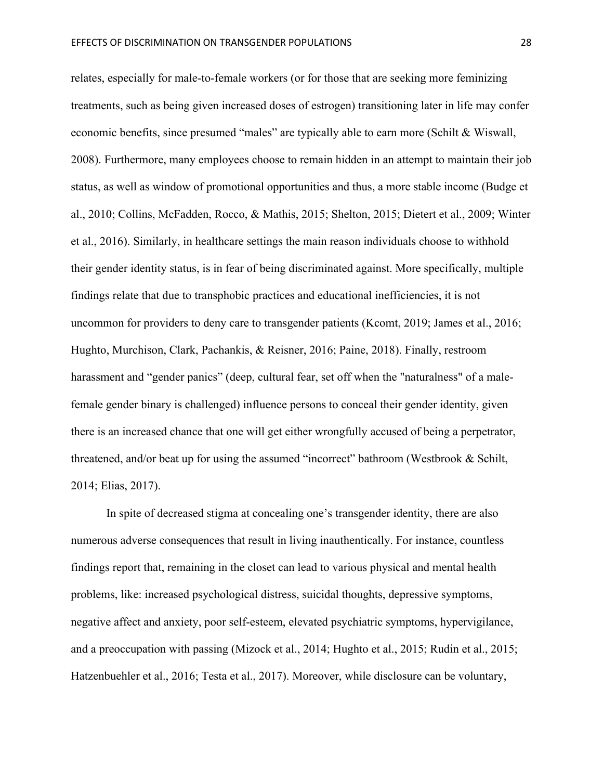relates, especially for male-to-female workers (or for those that are seeking more feminizing treatments, such as being given increased doses of estrogen) transitioning later in life may confer economic benefits, since presumed "males" are typically able to earn more (Schilt & Wiswall, 2008). Furthermore, many employees choose to remain hidden in an attempt to maintain their job status, as well as window of promotional opportunities and thus, a more stable income (Budge et al., 2010; Collins, McFadden, Rocco, & Mathis, 2015; Shelton, 2015; Dietert et al., 2009; Winter et al., 2016). Similarly, in healthcare settings the main reason individuals choose to withhold their gender identity status, is in fear of being discriminated against. More specifically, multiple findings relate that due to transphobic practices and educational inefficiencies, it is not uncommon for providers to deny care to transgender patients (Kcomt, 2019; James et al., 2016; Hughto, Murchison, Clark, Pachankis, & Reisner, 2016; Paine, 2018). Finally, restroom harassment and "gender panics" (deep, cultural fear, set off when the "naturalness" of a malefemale gender binary is challenged) influence persons to conceal their gender identity, given there is an increased chance that one will get either wrongfully accused of being a perpetrator, threatened, and/or beat up for using the assumed "incorrect" bathroom (Westbrook & Schilt, 2014; Elias, 2017).

In spite of decreased stigma at concealing one's transgender identity, there are also numerous adverse consequences that result in living inauthentically. For instance, countless findings report that, remaining in the closet can lead to various physical and mental health problems, like: increased psychological distress, suicidal thoughts, depressive symptoms, negative affect and anxiety, poor self-esteem, elevated psychiatric symptoms, hypervigilance, and a preoccupation with passing (Mizock et al., 2014; Hughto et al., 2015; Rudin et al., 2015; Hatzenbuehler et al., 2016; Testa et al., 2017). Moreover, while disclosure can be voluntary,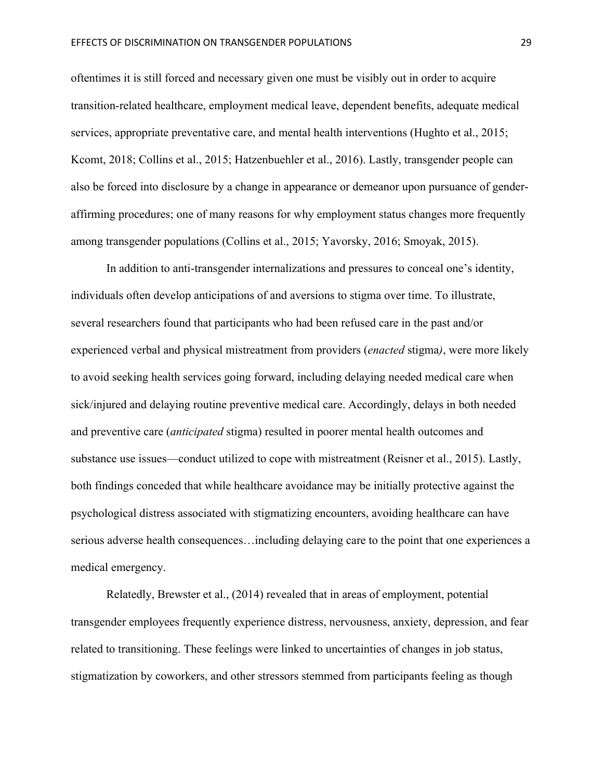oftentimes it is still forced and necessary given one must be visibly out in order to acquire transition-related healthcare, employment medical leave, dependent benefits, adequate medical services, appropriate preventative care, and mental health interventions (Hughto et al., 2015; Kcomt, 2018; Collins et al., 2015; Hatzenbuehler et al., 2016). Lastly, transgender people can also be forced into disclosure by a change in appearance or demeanor upon pursuance of genderaffirming procedures; one of many reasons for why employment status changes more frequently among transgender populations (Collins et al., 2015; Yavorsky, 2016; Smoyak, 2015).

In addition to anti-transgender internalizations and pressures to conceal one's identity, individuals often develop anticipations of and aversions to stigma over time. To illustrate, several researchers found that participants who had been refused care in the past and/or experienced verbal and physical mistreatment from providers (*enacted* stigma*)*, were more likely to avoid seeking health services going forward, including delaying needed medical care when sick/injured and delaying routine preventive medical care. Accordingly, delays in both needed and preventive care (*anticipated* stigma) resulted in poorer mental health outcomes and substance use issues—conduct utilized to cope with mistreatment (Reisner et al., 2015). Lastly, both findings conceded that while healthcare avoidance may be initially protective against the psychological distress associated with stigmatizing encounters, avoiding healthcare can have serious adverse health consequences…including delaying care to the point that one experiences a medical emergency.

Relatedly, Brewster et al., (2014) revealed that in areas of employment, potential transgender employees frequently experience distress, nervousness, anxiety, depression, and fear related to transitioning. These feelings were linked to uncertainties of changes in job status, stigmatization by coworkers, and other stressors stemmed from participants feeling as though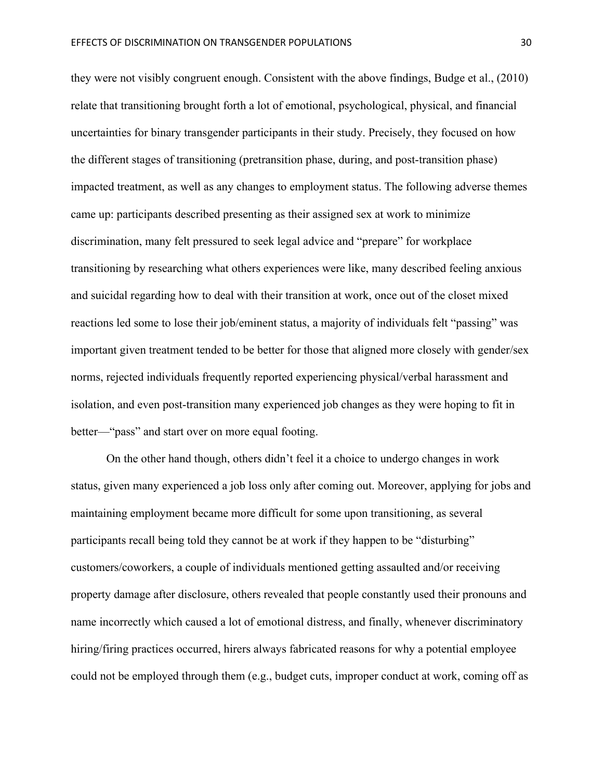they were not visibly congruent enough. Consistent with the above findings, Budge et al., (2010) relate that transitioning brought forth a lot of emotional, psychological, physical, and financial uncertainties for binary transgender participants in their study. Precisely, they focused on how the different stages of transitioning (pretransition phase, during, and post-transition phase) impacted treatment, as well as any changes to employment status. The following adverse themes came up: participants described presenting as their assigned sex at work to minimize discrimination, many felt pressured to seek legal advice and "prepare" for workplace transitioning by researching what others experiences were like, many described feeling anxious and suicidal regarding how to deal with their transition at work, once out of the closet mixed reactions led some to lose their job/eminent status, a majority of individuals felt "passing" was important given treatment tended to be better for those that aligned more closely with gender/sex norms, rejected individuals frequently reported experiencing physical/verbal harassment and isolation, and even post-transition many experienced job changes as they were hoping to fit in better—"pass" and start over on more equal footing.

On the other hand though, others didn't feel it a choice to undergo changes in work status, given many experienced a job loss only after coming out. Moreover, applying for jobs and maintaining employment became more difficult for some upon transitioning, as several participants recall being told they cannot be at work if they happen to be "disturbing" customers/coworkers, a couple of individuals mentioned getting assaulted and/or receiving property damage after disclosure, others revealed that people constantly used their pronouns and name incorrectly which caused a lot of emotional distress, and finally, whenever discriminatory hiring/firing practices occurred, hirers always fabricated reasons for why a potential employee could not be employed through them (e.g., budget cuts, improper conduct at work, coming off as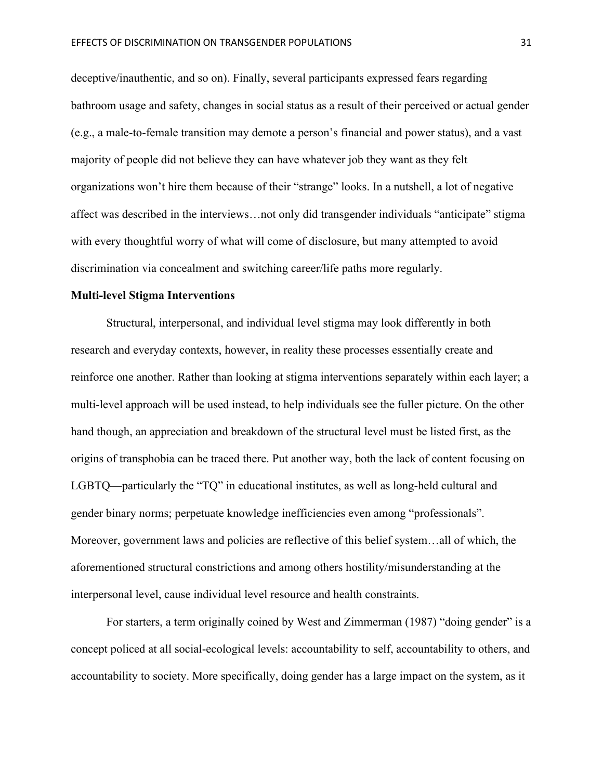deceptive/inauthentic, and so on). Finally, several participants expressed fears regarding bathroom usage and safety, changes in social status as a result of their perceived or actual gender (e.g., a male-to-female transition may demote a person's financial and power status), and a vast majority of people did not believe they can have whatever job they want as they felt organizations won't hire them because of their "strange" looks. In a nutshell, a lot of negative affect was described in the interviews…not only did transgender individuals "anticipate" stigma with every thoughtful worry of what will come of disclosure, but many attempted to avoid discrimination via concealment and switching career/life paths more regularly.

#### **Multi-level Stigma Interventions**

Structural, interpersonal, and individual level stigma may look differently in both research and everyday contexts, however, in reality these processes essentially create and reinforce one another. Rather than looking at stigma interventions separately within each layer; a multi-level approach will be used instead, to help individuals see the fuller picture. On the other hand though, an appreciation and breakdown of the structural level must be listed first, as the origins of transphobia can be traced there. Put another way, both the lack of content focusing on LGBTQ—particularly the "TQ" in educational institutes, as well as long-held cultural and gender binary norms; perpetuate knowledge inefficiencies even among "professionals". Moreover, government laws and policies are reflective of this belief system…all of which, the aforementioned structural constrictions and among others hostility/misunderstanding at the interpersonal level, cause individual level resource and health constraints.

For starters, a term originally coined by West and Zimmerman (1987) "doing gender" is a concept policed at all social-ecological levels: accountability to self, accountability to others, and accountability to society. More specifically, doing gender has a large impact on the system, as it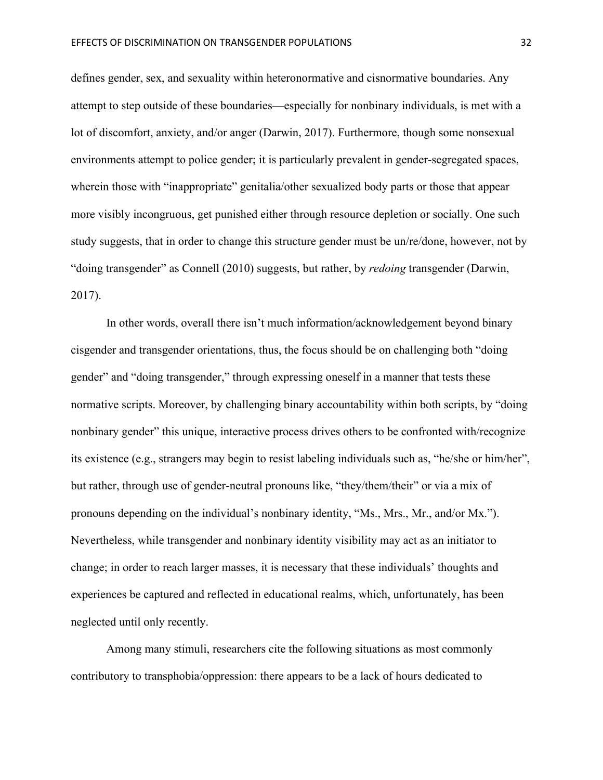defines gender, sex, and sexuality within heteronormative and cisnormative boundaries. Any attempt to step outside of these boundaries—especially for nonbinary individuals, is met with a lot of discomfort, anxiety, and/or anger (Darwin, 2017). Furthermore, though some nonsexual environments attempt to police gender; it is particularly prevalent in gender-segregated spaces, wherein those with "inappropriate" genitalia/other sexualized body parts or those that appear more visibly incongruous, get punished either through resource depletion or socially. One such study suggests, that in order to change this structure gender must be un/re/done, however, not by "doing transgender" as Connell (2010) suggests, but rather, by *redoing* transgender (Darwin, 2017).

In other words, overall there isn't much information/acknowledgement beyond binary cisgender and transgender orientations, thus, the focus should be on challenging both "doing gender" and "doing transgender," through expressing oneself in a manner that tests these normative scripts. Moreover, by challenging binary accountability within both scripts, by "doing nonbinary gender" this unique, interactive process drives others to be confronted with/recognize its existence (e.g., strangers may begin to resist labeling individuals such as, "he/she or him/her", but rather, through use of gender-neutral pronouns like, "they/them/their" or via a mix of pronouns depending on the individual's nonbinary identity, "Ms., Mrs., Mr., and/or Mx."). Nevertheless, while transgender and nonbinary identity visibility may act as an initiator to change; in order to reach larger masses, it is necessary that these individuals' thoughts and experiences be captured and reflected in educational realms, which, unfortunately, has been neglected until only recently.

Among many stimuli, researchers cite the following situations as most commonly contributory to transphobia/oppression: there appears to be a lack of hours dedicated to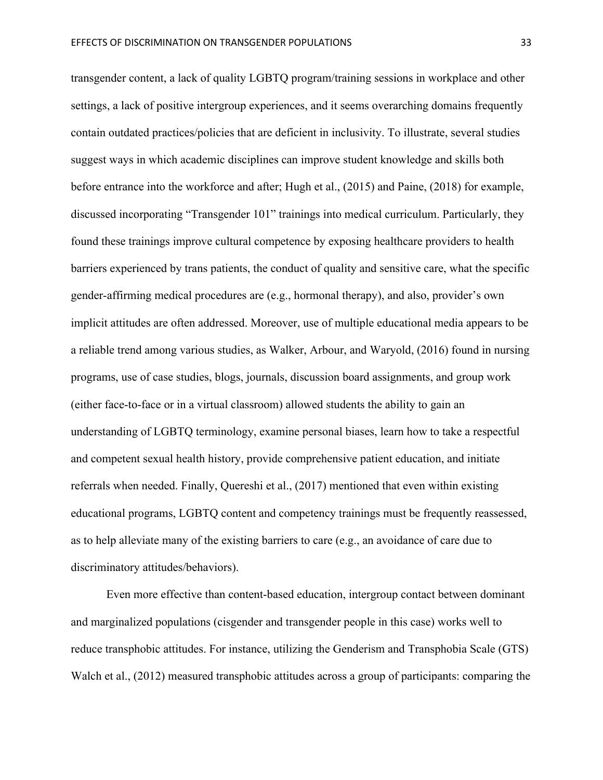transgender content, a lack of quality LGBTQ program/training sessions in workplace and other settings, a lack of positive intergroup experiences, and it seems overarching domains frequently contain outdated practices/policies that are deficient in inclusivity. To illustrate, several studies suggest ways in which academic disciplines can improve student knowledge and skills both before entrance into the workforce and after; Hugh et al., (2015) and Paine, (2018) for example, discussed incorporating "Transgender 101" trainings into medical curriculum. Particularly, they found these trainings improve cultural competence by exposing healthcare providers to health barriers experienced by trans patients, the conduct of quality and sensitive care, what the specific gender-affirming medical procedures are (e.g., hormonal therapy), and also, provider's own implicit attitudes are often addressed. Moreover, use of multiple educational media appears to be a reliable trend among various studies, as Walker, Arbour, and Waryold, (2016) found in nursing programs, use of case studies, blogs, journals, discussion board assignments, and group work (either face-to-face or in a virtual classroom) allowed students the ability to gain an understanding of LGBTQ terminology, examine personal biases, learn how to take a respectful and competent sexual health history, provide comprehensive patient education, and initiate referrals when needed. Finally, Quereshi et al., (2017) mentioned that even within existing educational programs, LGBTQ content and competency trainings must be frequently reassessed, as to help alleviate many of the existing barriers to care (e.g., an avoidance of care due to discriminatory attitudes/behaviors).

Even more effective than content-based education, intergroup contact between dominant and marginalized populations (cisgender and transgender people in this case) works well to reduce transphobic attitudes. For instance, utilizing the Genderism and Transphobia Scale (GTS) Walch et al., (2012) measured transphobic attitudes across a group of participants: comparing the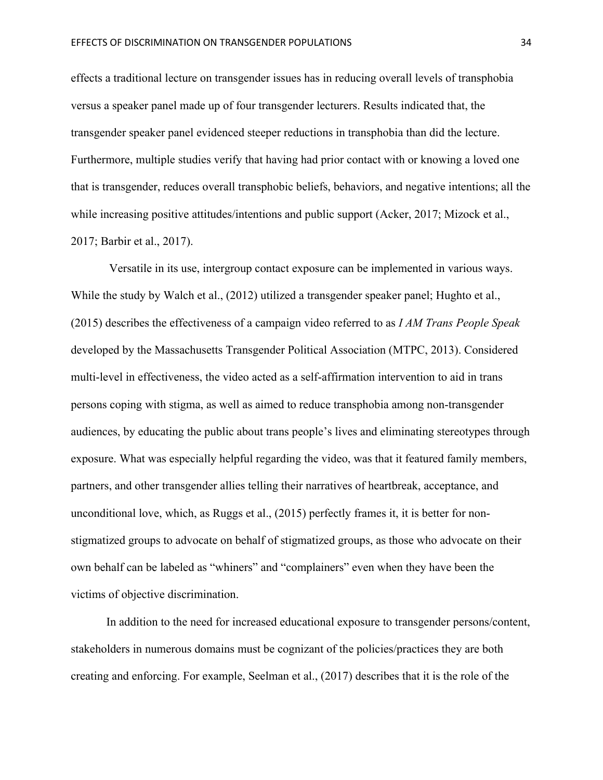effects a traditional lecture on transgender issues has in reducing overall levels of transphobia versus a speaker panel made up of four transgender lecturers. Results indicated that, the transgender speaker panel evidenced steeper reductions in transphobia than did the lecture. Furthermore, multiple studies verify that having had prior contact with or knowing a loved one that is transgender, reduces overall transphobic beliefs, behaviors, and negative intentions; all the while increasing positive attitudes/intentions and public support (Acker, 2017; Mizock et al., 2017; Barbir et al., 2017).

Versatile in its use, intergroup contact exposure can be implemented in various ways. While the study by Walch et al., (2012) utilized a transgender speaker panel; Hughto et al., (2015) describes the effectiveness of a campaign video referred to as *I AM Trans People Speak*  developed by the Massachusetts Transgender Political Association (MTPC, 2013). Considered multi-level in effectiveness, the video acted as a self-affirmation intervention to aid in trans persons coping with stigma, as well as aimed to reduce transphobia among non-transgender audiences, by educating the public about trans people's lives and eliminating stereotypes through exposure. What was especially helpful regarding the video, was that it featured family members, partners, and other transgender allies telling their narratives of heartbreak, acceptance, and unconditional love, which, as Ruggs et al., (2015) perfectly frames it, it is better for nonstigmatized groups to advocate on behalf of stigmatized groups, as those who advocate on their own behalf can be labeled as "whiners" and "complainers" even when they have been the victims of objective discrimination.

In addition to the need for increased educational exposure to transgender persons/content, stakeholders in numerous domains must be cognizant of the policies/practices they are both creating and enforcing. For example, Seelman et al., (2017) describes that it is the role of the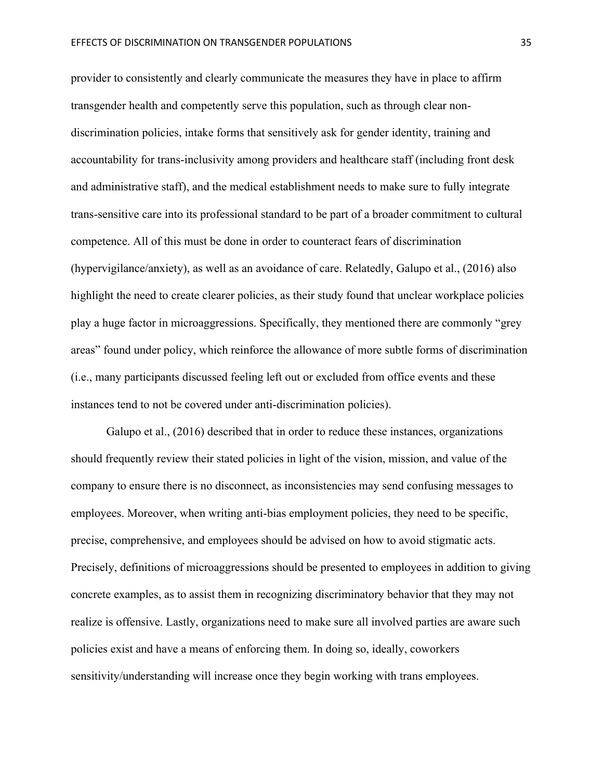provider to consistently and clearly communicate the measures they have in place to affirm transgender health and competently serve this population, such as through clear nondiscrimination policies, intake forms that sensitively ask for gender identity, training and accountability for trans-inclusivity among providers and healthcare staff (including front desk and administrative staff), and the medical establishment needs to make sure to fully integrate trans-sensitive care into its professional standard to be part of a broader commitment to cultural competence. All of this must be done in order to counteract fears of discrimination (hypervigilance/anxiety), as well as an avoidance of care. Relatedly, Galupo et al., (2016) also highlight the need to create clearer policies, as their study found that unclear workplace policies play a huge factor in microaggressions. Specifically, they mentioned there are commonly "grey areas" found under policy, which reinforce the allowance of more subtle forms of discrimination (i.e., many participants discussed feeling left out or excluded from office events and these instances tend to not be covered under anti-discrimination policies).

Galupo et al., (2016) described that in order to reduce these instances, organizations should frequently review their stated policies in light of the vision, mission, and value of the company to ensure there is no disconnect, as inconsistencies may send confusing messages to employees. Moreover, when writing anti-bias employment policies, they need to be specific, precise, comprehensive, and employees should be advised on how to avoid stigmatic acts. Precisely, definitions of microaggressions should be presented to employees in addition to giving concrete examples, as to assist them in recognizing discriminatory behavior that they may not realize is offensive. Lastly, organizations need to make sure all involved parties are aware such policies exist and have a means of enforcing them. In doing so, ideally, coworkers sensitivity/understanding will increase once they begin working with trans employees.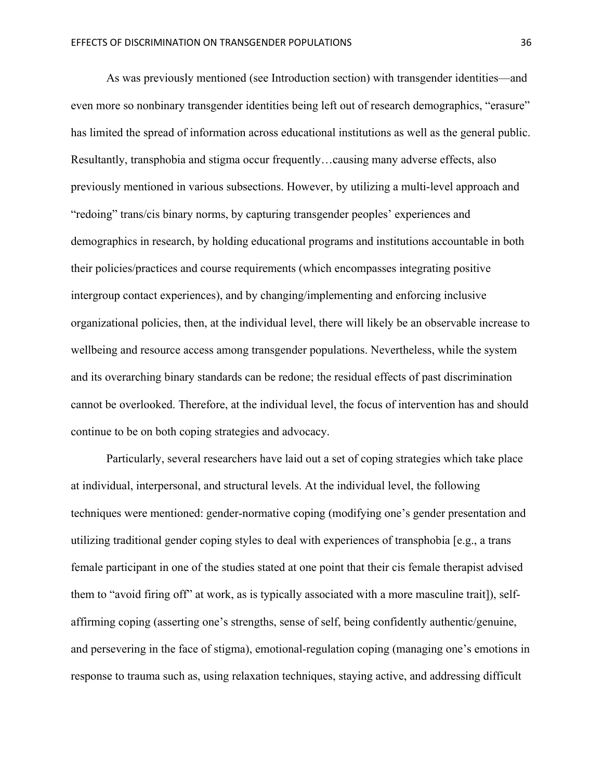As was previously mentioned (see Introduction section) with transgender identities—and even more so nonbinary transgender identities being left out of research demographics, "erasure" has limited the spread of information across educational institutions as well as the general public. Resultantly, transphobia and stigma occur frequently…causing many adverse effects, also previously mentioned in various subsections. However, by utilizing a multi-level approach and "redoing" trans/cis binary norms, by capturing transgender peoples' experiences and demographics in research, by holding educational programs and institutions accountable in both their policies/practices and course requirements (which encompasses integrating positive intergroup contact experiences), and by changing/implementing and enforcing inclusive organizational policies, then, at the individual level, there will likely be an observable increase to wellbeing and resource access among transgender populations. Nevertheless, while the system and its overarching binary standards can be redone; the residual effects of past discrimination cannot be overlooked. Therefore, at the individual level, the focus of intervention has and should continue to be on both coping strategies and advocacy.

Particularly, several researchers have laid out a set of coping strategies which take place at individual, interpersonal, and structural levels. At the individual level, the following techniques were mentioned: gender-normative coping (modifying one's gender presentation and utilizing traditional gender coping styles to deal with experiences of transphobia [e.g., a trans female participant in one of the studies stated at one point that their cis female therapist advised them to "avoid firing off" at work, as is typically associated with a more masculine trait]), selfaffirming coping (asserting one's strengths, sense of self, being confidently authentic/genuine, and persevering in the face of stigma), emotional-regulation coping (managing one's emotions in response to trauma such as, using relaxation techniques, staying active, and addressing difficult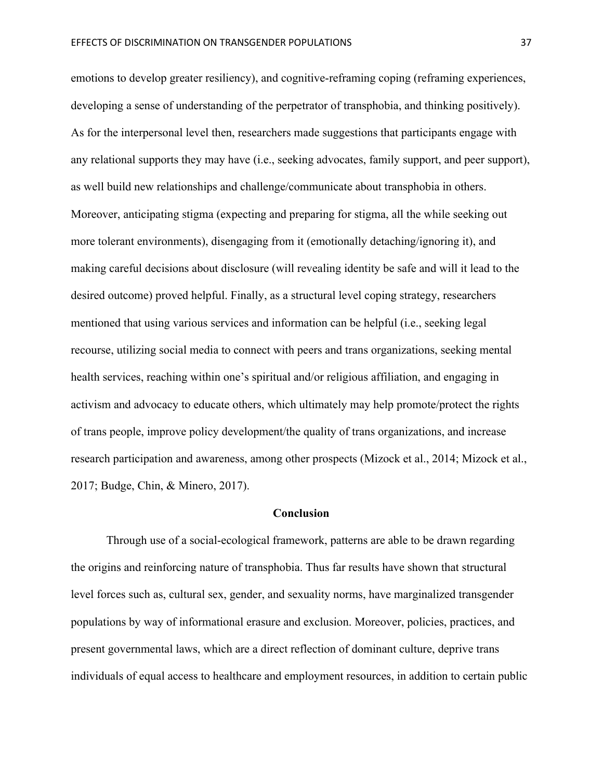emotions to develop greater resiliency), and cognitive-reframing coping (reframing experiences, developing a sense of understanding of the perpetrator of transphobia, and thinking positively). As for the interpersonal level then, researchers made suggestions that participants engage with any relational supports they may have (i.e., seeking advocates, family support, and peer support), as well build new relationships and challenge/communicate about transphobia in others. Moreover, anticipating stigma (expecting and preparing for stigma, all the while seeking out more tolerant environments), disengaging from it (emotionally detaching/ignoring it), and making careful decisions about disclosure (will revealing identity be safe and will it lead to the desired outcome) proved helpful. Finally, as a structural level coping strategy, researchers mentioned that using various services and information can be helpful (i.e., seeking legal recourse, utilizing social media to connect with peers and trans organizations, seeking mental health services, reaching within one's spiritual and/or religious affiliation, and engaging in activism and advocacy to educate others, which ultimately may help promote/protect the rights of trans people, improve policy development/the quality of trans organizations, and increase research participation and awareness, among other prospects (Mizock et al., 2014; Mizock et al., 2017; Budge, Chin, & Minero, 2017).

#### **Conclusion**

Through use of a social-ecological framework, patterns are able to be drawn regarding the origins and reinforcing nature of transphobia. Thus far results have shown that structural level forces such as, cultural sex, gender, and sexuality norms, have marginalized transgender populations by way of informational erasure and exclusion. Moreover, policies, practices, and present governmental laws, which are a direct reflection of dominant culture, deprive trans individuals of equal access to healthcare and employment resources, in addition to certain public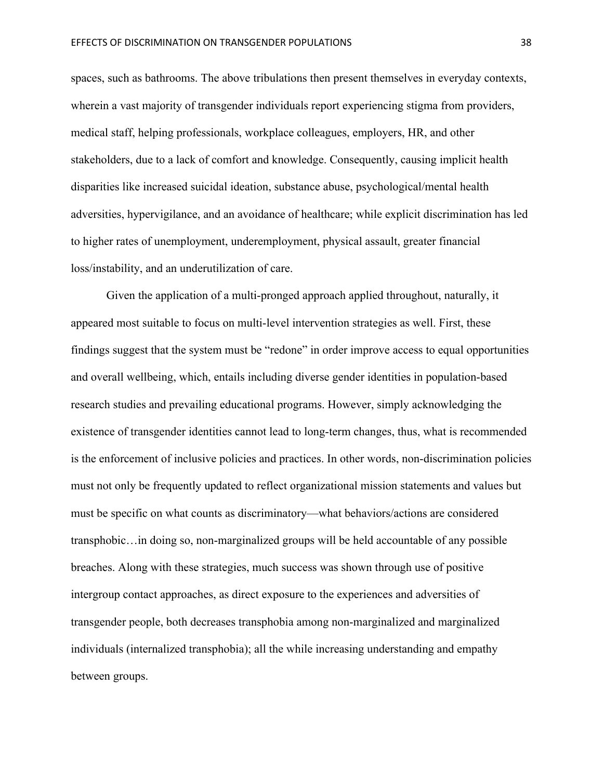spaces, such as bathrooms. The above tribulations then present themselves in everyday contexts, wherein a vast majority of transgender individuals report experiencing stigma from providers, medical staff, helping professionals, workplace colleagues, employers, HR, and other stakeholders, due to a lack of comfort and knowledge. Consequently, causing implicit health disparities like increased suicidal ideation, substance abuse, psychological/mental health adversities, hypervigilance, and an avoidance of healthcare; while explicit discrimination has led to higher rates of unemployment, underemployment, physical assault, greater financial loss/instability, and an underutilization of care.

Given the application of a multi-pronged approach applied throughout, naturally, it appeared most suitable to focus on multi-level intervention strategies as well. First, these findings suggest that the system must be "redone" in order improve access to equal opportunities and overall wellbeing, which, entails including diverse gender identities in population-based research studies and prevailing educational programs. However, simply acknowledging the existence of transgender identities cannot lead to long-term changes, thus, what is recommended is the enforcement of inclusive policies and practices. In other words, non-discrimination policies must not only be frequently updated to reflect organizational mission statements and values but must be specific on what counts as discriminatory—what behaviors/actions are considered transphobic…in doing so, non-marginalized groups will be held accountable of any possible breaches. Along with these strategies, much success was shown through use of positive intergroup contact approaches, as direct exposure to the experiences and adversities of transgender people, both decreases transphobia among non-marginalized and marginalized individuals (internalized transphobia); all the while increasing understanding and empathy between groups.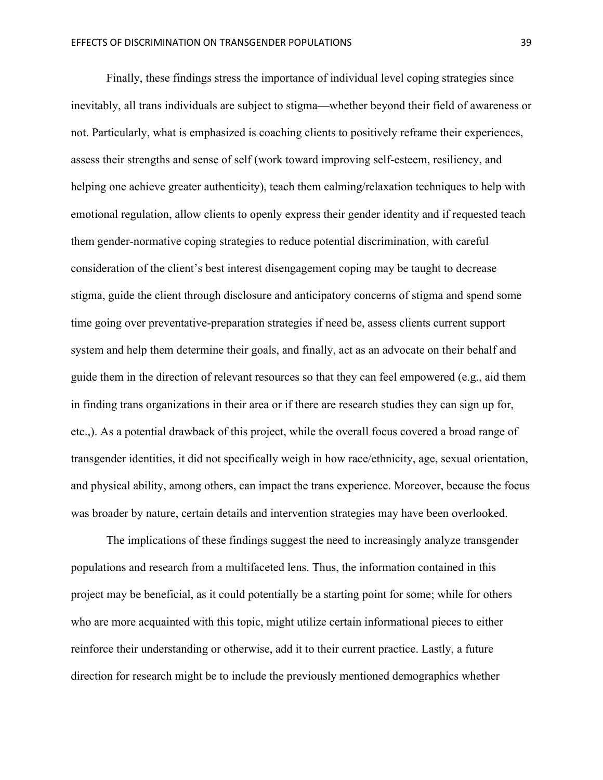Finally, these findings stress the importance of individual level coping strategies since inevitably, all trans individuals are subject to stigma—whether beyond their field of awareness or not. Particularly, what is emphasized is coaching clients to positively reframe their experiences, assess their strengths and sense of self (work toward improving self-esteem, resiliency, and helping one achieve greater authenticity), teach them calming/relaxation techniques to help with emotional regulation, allow clients to openly express their gender identity and if requested teach them gender-normative coping strategies to reduce potential discrimination, with careful consideration of the client's best interest disengagement coping may be taught to decrease stigma, guide the client through disclosure and anticipatory concerns of stigma and spend some time going over preventative-preparation strategies if need be, assess clients current support system and help them determine their goals, and finally, act as an advocate on their behalf and guide them in the direction of relevant resources so that they can feel empowered (e.g., aid them in finding trans organizations in their area or if there are research studies they can sign up for, etc.,). As a potential drawback of this project, while the overall focus covered a broad range of transgender identities, it did not specifically weigh in how race/ethnicity, age, sexual orientation, and physical ability, among others, can impact the trans experience. Moreover, because the focus was broader by nature, certain details and intervention strategies may have been overlooked.

The implications of these findings suggest the need to increasingly analyze transgender populations and research from a multifaceted lens. Thus, the information contained in this project may be beneficial, as it could potentially be a starting point for some; while for others who are more acquainted with this topic, might utilize certain informational pieces to either reinforce their understanding or otherwise, add it to their current practice. Lastly, a future direction for research might be to include the previously mentioned demographics whether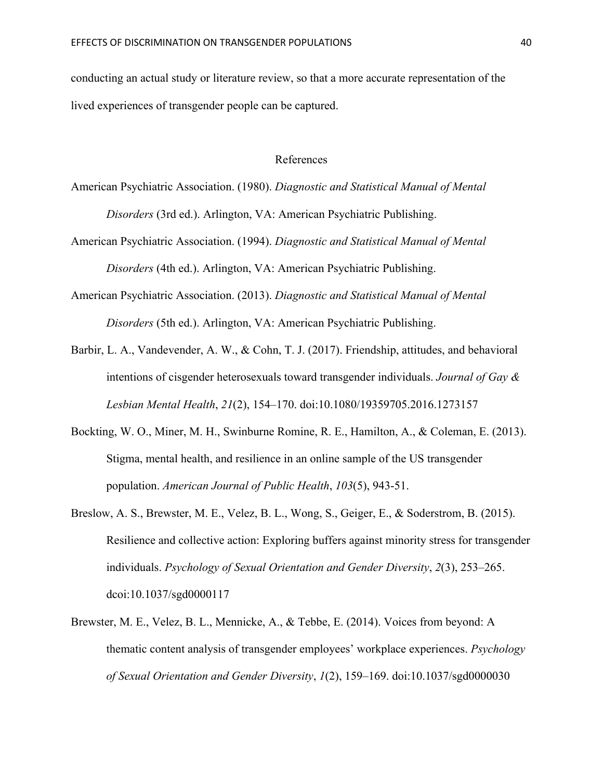conducting an actual study or literature review, so that a more accurate representation of the lived experiences of transgender people can be captured.

#### References

American Psychiatric Association. (1980). *Diagnostic and Statistical Manual of Mental Disorders* (3rd ed.). Arlington, VA: American Psychiatric Publishing.

- American Psychiatric Association. (1994). *Diagnostic and Statistical Manual of Mental Disorders* (4th ed.). Arlington, VA: American Psychiatric Publishing.
- American Psychiatric Association. (2013). *Diagnostic and Statistical Manual of Mental Disorders* (5th ed.). Arlington, VA: American Psychiatric Publishing.
- Barbir, L. A., Vandevender, A. W., & Cohn, T. J. (2017). Friendship, attitudes, and behavioral intentions of cisgender heterosexuals toward transgender individuals. *Journal of Gay & Lesbian Mental Health*, *21*(2), 154–170. doi:10.1080/19359705.2016.1273157
- Bockting, W. O., Miner, M. H., Swinburne Romine, R. E., Hamilton, A., & Coleman, E. (2013). Stigma, mental health, and resilience in an online sample of the US transgender population. *American Journal of Public Health*, *103*(5), 943-51.
- Breslow, A. S., Brewster, M. E., Velez, B. L., Wong, S., Geiger, E., & Soderstrom, B. (2015). Resilience and collective action: Exploring buffers against minority stress for transgender individuals. *Psychology of Sexual Orientation and Gender Diversity*, *2*(3), 253–265. dcoi:10.1037/sgd0000117
- Brewster, M. E., Velez, B. L., Mennicke, A., & Tebbe, E. (2014). Voices from beyond: A thematic content analysis of transgender employees' workplace experiences. *Psychology of Sexual Orientation and Gender Diversity*, *1*(2), 159–169. doi:10.1037/sgd0000030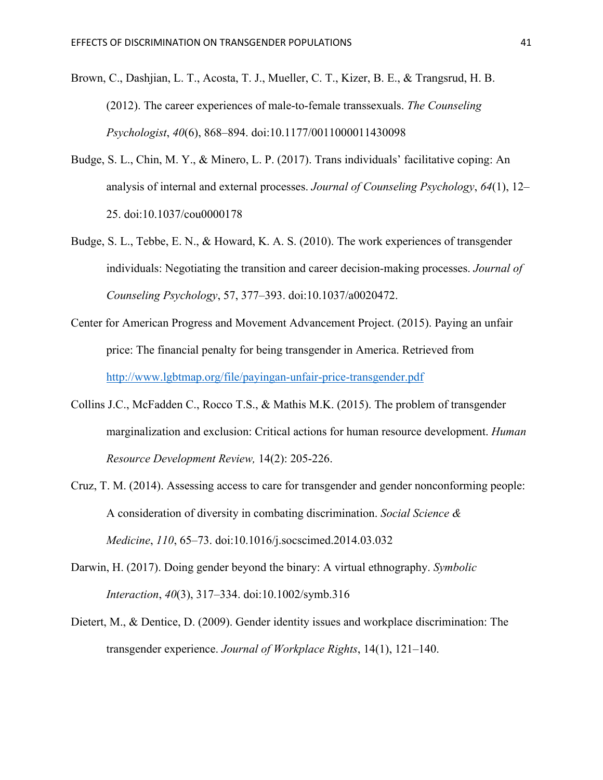- Brown, C., Dashjian, L. T., Acosta, T. J., Mueller, C. T., Kizer, B. E., & Trangsrud, H. B. (2012). The career experiences of male-to-female transsexuals. *The Counseling Psychologist*, *40*(6), 868–894. doi:10.1177/0011000011430098
- Budge, S. L., Chin, M. Y., & Minero, L. P. (2017). Trans individuals' facilitative coping: An analysis of internal and external processes. *Journal of Counseling Psychology*, *64*(1), 12– 25. doi:10.1037/cou0000178
- Budge, S. L., Tebbe, E. N., & Howard, K. A. S. (2010). The work experiences of transgender individuals: Negotiating the transition and career decision-making processes. *Journal of Counseling Psychology*, 57, 377–393. doi:10.1037/a0020472.
- Center for American Progress and Movement Advancement Project. (2015). Paying an unfair price: The financial penalty for being transgender in America. Retrieved from http://www.lgbtmap.org/file/payingan-unfair-price-transgender.pdf
- Collins J.C., McFadden C., Rocco T.S., & Mathis M.K. (2015). The problem of transgender marginalization and exclusion: Critical actions for human resource development. *Human Resource Development Review,* 14(2): 205-226.
- Cruz, T. M. (2014). Assessing access to care for transgender and gender nonconforming people: A consideration of diversity in combating discrimination. *Social Science & Medicine*, *110*, 65–73. doi:10.1016/j.socscimed.2014.03.032
- Darwin, H. (2017). Doing gender beyond the binary: A virtual ethnography. *Symbolic Interaction*, *40*(3), 317–334. doi:10.1002/symb.316
- Dietert, M., & Dentice, D. (2009). Gender identity issues and workplace discrimination: The transgender experience. *Journal of Workplace Rights*, 14(1), 121–140.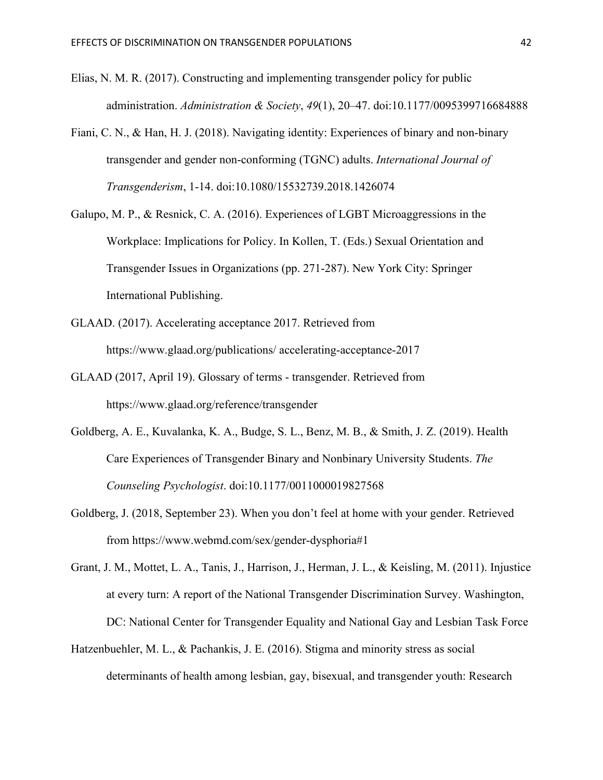- Elias, N. M. R. (2017). Constructing and implementing transgender policy for public administration. *Administration & Society*, *49*(1), 20–47. doi:10.1177/0095399716684888
- Fiani, C. N., & Han, H. J. (2018). Navigating identity: Experiences of binary and non-binary transgender and gender non-conforming (TGNC) adults. *International Journal of Transgenderism*, 1-14. doi:10.1080/15532739.2018.1426074
- Galupo, M. P., & Resnick, C. A. (2016). Experiences of LGBT Microaggressions in the Workplace: Implications for Policy. In Kollen, T. (Eds.) Sexual Orientation and Transgender Issues in Organizations (pp. 271-287). New York City: Springer International Publishing.
- GLAAD. (2017). Accelerating acceptance 2017. Retrieved from https://www.glaad.org/publications/ accelerating-acceptance-2017
- GLAAD (2017, April 19). Glossary of terms transgender. Retrieved from https://www.glaad.org/reference/transgender
- Goldberg, A. E., Kuvalanka, K. A., Budge, S. L., Benz, M. B., & Smith, J. Z. (2019). Health Care Experiences of Transgender Binary and Nonbinary University Students. *The Counseling Psychologist*. doi:10.1177/0011000019827568
- Goldberg, J. (2018, September 23). When you don't feel at home with your gender. Retrieved from https://www.webmd.com/sex/gender-dysphoria#1
- Grant, J. M., Mottet, L. A., Tanis, J., Harrison, J., Herman, J. L., & Keisling, M. (2011). Injustice at every turn: A report of the National Transgender Discrimination Survey. Washington, DC: National Center for Transgender Equality and National Gay and Lesbian Task Force
- Hatzenbuehler, M. L., & Pachankis, J. E. (2016). Stigma and minority stress as social determinants of health among lesbian, gay, bisexual, and transgender youth: Research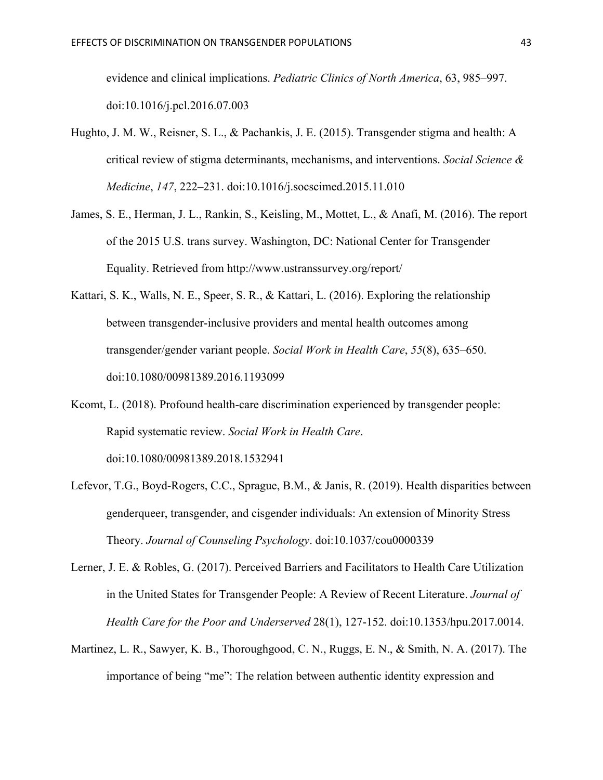evidence and clinical implications. *Pediatric Clinics of North America*, 63, 985–997. doi:10.1016/j.pcl.2016.07.003

- Hughto, J. M. W., Reisner, S. L., & Pachankis, J. E. (2015). Transgender stigma and health: A critical review of stigma determinants, mechanisms, and interventions. *Social Science & Medicine*, *147*, 222–231. doi:10.1016/j.socscimed.2015.11.010
- James, S. E., Herman, J. L., Rankin, S., Keisling, M., Mottet, L., & Anafi, M. (2016). The report of the 2015 U.S. trans survey. Washington, DC: National Center for Transgender Equality. Retrieved from http://www.ustranssurvey.org/report/
- Kattari, S. K., Walls, N. E., Speer, S. R., & Kattari, L. (2016). Exploring the relationship between transgender-inclusive providers and mental health outcomes among transgender/gender variant people. *Social Work in Health Care*, *55*(8), 635–650. doi:10.1080/00981389.2016.1193099
- Kcomt, L. (2018). Profound health-care discrimination experienced by transgender people: Rapid systematic review. *Social Work in Health Care*. doi:10.1080/00981389.2018.1532941
- Lefevor, T.G., Boyd-Rogers, C.C., Sprague, B.M., & Janis, R. (2019). Health disparities between genderqueer, transgender, and cisgender individuals: An extension of Minority Stress Theory. *Journal of Counseling Psychology*. doi:10.1037/cou0000339
- Lerner, J. E. & Robles, G. (2017). Perceived Barriers and Facilitators to Health Care Utilization in the United States for Transgender People: A Review of Recent Literature. *Journal of Health Care for the Poor and Underserved* 28(1), 127-152. doi:10.1353/hpu.2017.0014.
- Martinez, L. R., Sawyer, K. B., Thoroughgood, C. N., Ruggs, E. N., & Smith, N. A. (2017). The importance of being "me": The relation between authentic identity expression and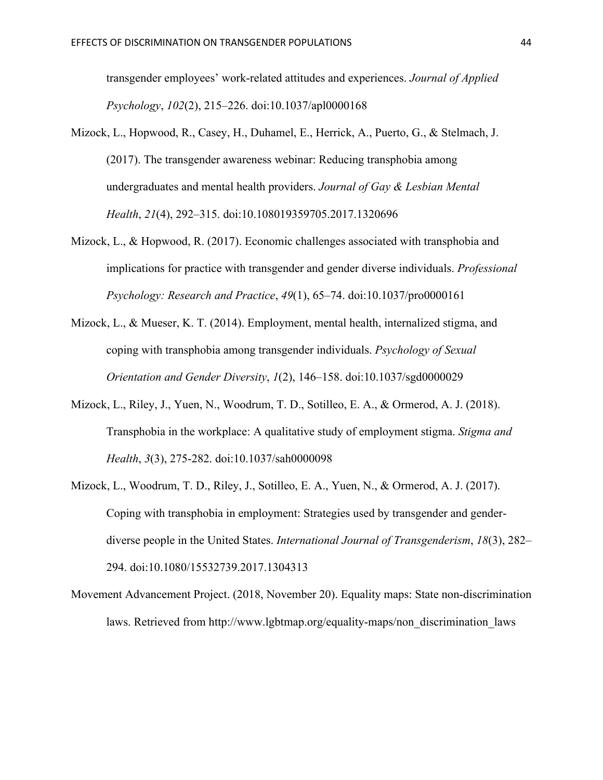transgender employees' work-related attitudes and experiences. *Journal of Applied Psychology*, *102*(2), 215–226. doi:10.1037/apl0000168

- Mizock, L., Hopwood, R., Casey, H., Duhamel, E., Herrick, A., Puerto, G., & Stelmach, J. (2017). The transgender awareness webinar: Reducing transphobia among undergraduates and mental health providers. *Journal of Gay & Lesbian Mental Health*, *21*(4), 292–315. doi:10.108019359705.2017.1320696
- Mizock, L., & Hopwood, R. (2017). Economic challenges associated with transphobia and implications for practice with transgender and gender diverse individuals. *Professional Psychology: Research and Practice*, *49*(1), 65–74. doi:10.1037/pro0000161
- Mizock, L., & Mueser, K. T. (2014). Employment, mental health, internalized stigma, and coping with transphobia among transgender individuals. *Psychology of Sexual Orientation and Gender Diversity*, *1*(2), 146–158. doi:10.1037/sgd0000029
- Mizock, L., Riley, J., Yuen, N., Woodrum, T. D., Sotilleo, E. A., & Ormerod, A. J. (2018). Transphobia in the workplace: A qualitative study of employment stigma. *Stigma and Health*, *3*(3), 275-282. doi:10.1037/sah0000098
- Mizock, L., Woodrum, T. D., Riley, J., Sotilleo, E. A., Yuen, N., & Ormerod, A. J. (2017). Coping with transphobia in employment: Strategies used by transgender and genderdiverse people in the United States. *International Journal of Transgenderism*, *18*(3), 282– 294. doi:10.1080/15532739.2017.1304313
- Movement Advancement Project. (2018, November 20). Equality maps: State non-discrimination laws. Retrieved from http://www.lgbtmap.org/equality-maps/non\_discrimination\_laws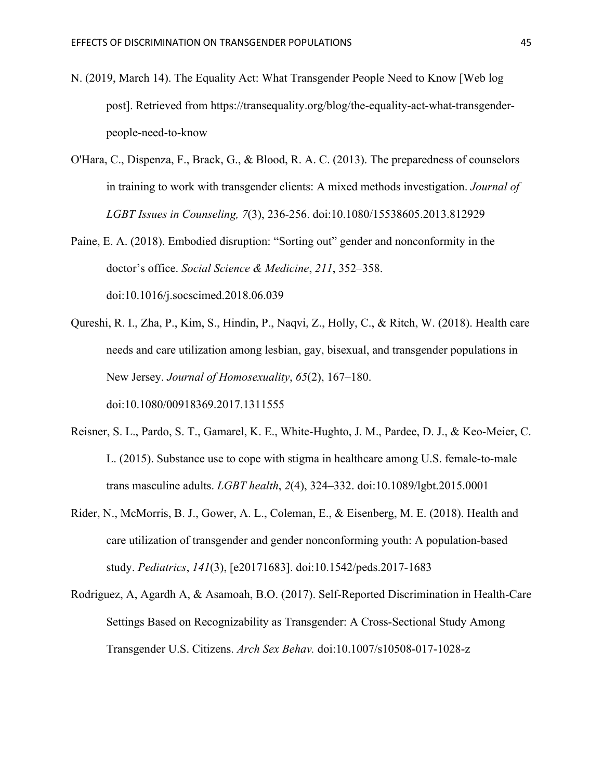- N. (2019, March 14). The Equality Act: What Transgender People Need to Know [Web log post]. Retrieved from https://transequality.org/blog/the-equality-act-what-transgenderpeople-need-to-know
- O'Hara, C., Dispenza, F., Brack, G., & Blood, R. A. C. (2013). The preparedness of counselors in training to work with transgender clients: A mixed methods investigation. *Journal of LGBT Issues in Counseling, 7*(3), 236-256. doi:10.1080/15538605.2013.812929
- Paine, E. A. (2018). Embodied disruption: "Sorting out" gender and nonconformity in the doctor's office. *Social Science & Medicine*, *211*, 352–358. doi:10.1016/j.socscimed.2018.06.039
- Qureshi, R. I., Zha, P., Kim, S., Hindin, P., Naqvi, Z., Holly, C., & Ritch, W. (2018). Health care needs and care utilization among lesbian, gay, bisexual, and transgender populations in New Jersey. *Journal of Homosexuality*, *65*(2), 167–180.

doi:10.1080/00918369.2017.1311555

- Reisner, S. L., Pardo, S. T., Gamarel, K. E., White-Hughto, J. M., Pardee, D. J., & Keo-Meier, C. L. (2015). Substance use to cope with stigma in healthcare among U.S. female-to-male trans masculine adults. *LGBT health*, *2*(4), 324–332. doi:10.1089/lgbt.2015.0001
- Rider, N., McMorris, B. J., Gower, A. L., Coleman, E., & Eisenberg, M. E. (2018). Health and care utilization of transgender and gender nonconforming youth: A population-based study. *Pediatrics*, *141*(3), [e20171683]. doi:10.1542/peds.2017-1683
- Rodriguez, A, Agardh A, & Asamoah, B.O. (2017). Self-Reported Discrimination in Health-Care Settings Based on Recognizability as Transgender: A Cross-Sectional Study Among Transgender U.S. Citizens. *Arch Sex Behav.* doi:10.1007/s10508-017-1028-z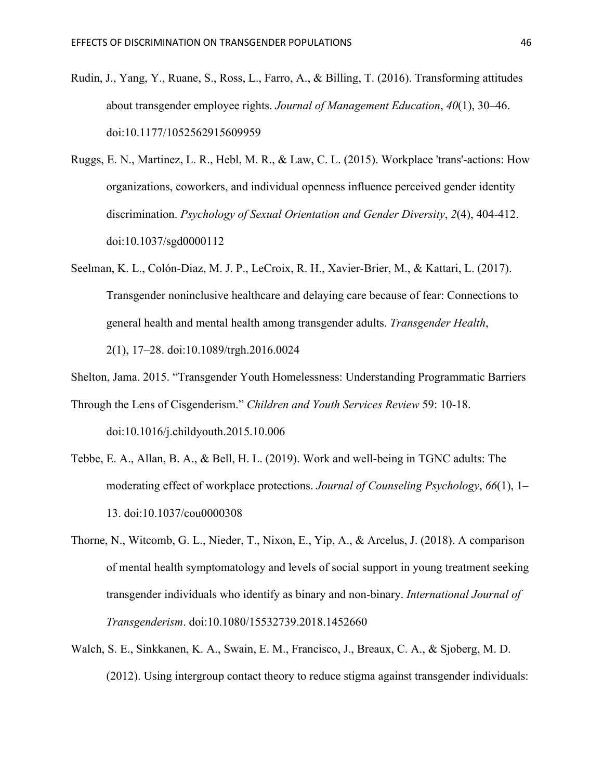- Rudin, J., Yang, Y., Ruane, S., Ross, L., Farro, A., & Billing, T. (2016). Transforming attitudes about transgender employee rights. *Journal of Management Education*, *40*(1), 30–46. doi:10.1177/1052562915609959
- Ruggs, E. N., Martinez, L. R., Hebl, M. R., & Law, C. L. (2015). Workplace 'trans'-actions: How organizations, coworkers, and individual openness influence perceived gender identity discrimination. *Psychology of Sexual Orientation and Gender Diversity*, *2*(4), 404-412. doi:10.1037/sgd0000112
- Seelman, K. L., Colón-Diaz, M. J. P., LeCroix, R. H., Xavier-Brier, M., & Kattari, L. (2017). Transgender noninclusive healthcare and delaying care because of fear: Connections to general health and mental health among transgender adults. *Transgender Health*, 2(1), 17–28. doi:10.1089/trgh.2016.0024
- Shelton, Jama. 2015. "Transgender Youth Homelessness: Understanding Programmatic Barriers
- Through the Lens of Cisgenderism." *Children and Youth Services Review* 59: 10-18. doi:10.1016/j.childyouth.2015.10.006
- Tebbe, E. A., Allan, B. A., & Bell, H. L. (2019). Work and well-being in TGNC adults: The moderating effect of workplace protections. *Journal of Counseling Psychology*, *66*(1), 1– 13. doi:10.1037/cou0000308
- Thorne, N., Witcomb, G. L., Nieder, T., Nixon, E., Yip, A., & Arcelus, J. (2018). A comparison of mental health symptomatology and levels of social support in young treatment seeking transgender individuals who identify as binary and non-binary. *International Journal of Transgenderism*. doi:10.1080/15532739.2018.1452660
- Walch, S. E., Sinkkanen, K. A., Swain, E. M., Francisco, J., Breaux, C. A., & Sjoberg, M. D. (2012). Using intergroup contact theory to reduce stigma against transgender individuals: